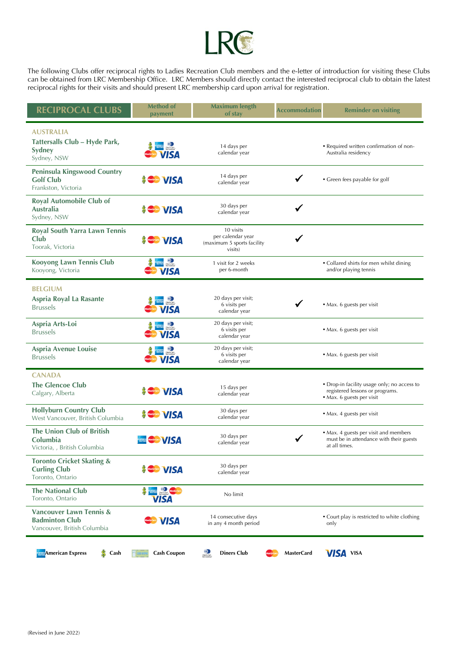

The following Clubs offer reciprocal rights to Ladies Recreation Club members and the e-letter of introduction for visiting these Clubs can be obtained from LRC Membership Office. LRC Members should directly contact the interested reciprocal club to obtain the latest reciprocal rights for their visits and should present LRC membership card upon arrival for registration.

| <b>RECIPROCAL CLUBS</b>                                                                    | <b>Method of</b><br>payment                                     | <b>Maximum length</b><br>of stay                                        | <b>Accommodation</b> | <b>Reminder on visiting</b>                                                                                 |
|--------------------------------------------------------------------------------------------|-----------------------------------------------------------------|-------------------------------------------------------------------------|----------------------|-------------------------------------------------------------------------------------------------------------|
| <b>AUSTRALIA</b><br>Tattersalls Club – Hyde Park,<br>Sydney<br>Sydney, NSW                 | <b>D</b><br><b><i><u>David Character</u></i></b><br><b>VISA</b> | 14 days per<br>calendar year                                            |                      | • Required written confirmation of non-<br>Australia residency                                              |
| <b>Peninsula Kingswood Country</b><br><b>Golf Club</b><br>Frankston, Victoria              | <b>SCOTT VISA</b>                                               | 14 days per<br>calendar year                                            |                      | • Green fees payable for golf                                                                               |
| Royal Automobile Club of<br>Australia<br>Sydney, NSW                                       | <b>SGO VISA</b>                                                 | 30 days per<br>calendar year                                            |                      |                                                                                                             |
| <b>Royal South Yarra Lawn Tennis</b><br>Club<br>Toorak, Victoria                           | <b>SOO VISA</b>                                                 | 10 visits<br>per calendar year<br>(maximum 5 sports facility<br>visits) |                      |                                                                                                             |
| <b>Kooyong Lawn Tennis Club</b><br>Kooyong, Victoria                                       | <b>PERTHE OF</b><br><b>VISA</b>                                 | 1 visit for 2 weeks<br>per 6-month                                      |                      | • Collared shirts for men whilst dining<br>and/or playing tennis                                            |
| <b>BELGIUM</b><br>Aspria Royal La Rasante<br><b>Brussels</b>                               | <b>VISA</b>                                                     | 20 days per visit;<br>6 visits per<br>calendar year                     |                      | • Max. 6 guests per visit                                                                                   |
| Aspria Arts-Loi<br><b>Brussels</b>                                                         | <b>DEALER O</b><br><b>VISA</b>                                  | 20 days per visit;<br>6 visits per<br>calendar year                     |                      | • Max. 6 guests per visit                                                                                   |
| <b>Aspria Avenue Louise</b><br><b>Brussels</b>                                             | $\bullet$<br><b>VISA</b>                                        | 20 days per visit;<br>6 visits per<br>calendar year                     |                      | • Max. 6 guests per visit                                                                                   |
| <b>CANADA</b><br><b>The Glencoe Club</b><br>Calgary, Alberta                               | <b>SCOTT VISA</b>                                               | 15 days per<br>calendar year                                            |                      | • Drop-in facility usage only; no access to<br>registered lessons or programs.<br>• Max. 6 guests per visit |
| <b>Hollyburn Country Club</b><br>West Vancouver, British Columbia                          | <b>Second VISA</b>                                              | 30 days per<br>calendar year                                            |                      | • Max. 4 guests per visit                                                                                   |
| The Union Club of British<br>Columbia<br>Victoria, , British Columbia                      | <b>Executive VISA</b>                                           | 30 days per<br>calendar year                                            |                      | · Max. 4 guests per visit and members<br>must be in attendance with their guests<br>at all times.           |
| <b>Toronto Cricket Skating &amp;</b><br><b>Curling Club</b><br>Toronto, Ontario            | <b>S Contract VISA</b>                                          | 30 days per<br>calendar year                                            |                      |                                                                                                             |
| <b>The National Club</b><br>Toronto, Ontario                                               | $\bullet$ $\bullet$<br><b>VISA</b>                              | No limit                                                                |                      |                                                                                                             |
| <b>Vancouver Lawn Tennis &amp;</b><br><b>Badminton Club</b><br>Vancouver, British Columbia | <b>Second VISA</b>                                              | 14 consecutive days<br>in any 4 month period                            |                      | • Court play is restricted to white clothing<br>only                                                        |
| <b>S</b> Cash<br><b>American Express</b>                                                   | <b>Cash Coupon</b>                                              | $\frac{1}{\frac{1}{2}}$<br><b>Diners Club</b>                           | <b>MasterCard</b>    | <b>VISA VISA</b>                                                                                            |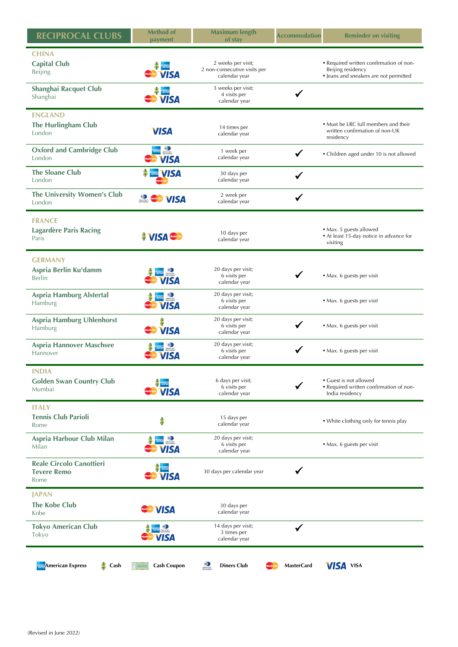| <b>RECIPROCAL CLUBS</b>                                       | <b>Method of</b><br>payment                    | <b>Maximum length</b><br>of stay                                          | <b>Accommodation</b> | <b>Reminder on visiting</b>                                                                            |
|---------------------------------------------------------------|------------------------------------------------|---------------------------------------------------------------------------|----------------------|--------------------------------------------------------------------------------------------------------|
| <b>CHINA</b><br><b>Capital Club</b><br>Beijing                | <b>VISA</b>                                    | 2 weeks per visit;<br>2 non-consecutive visits per<br>calendar year       |                      | • Required written confirmation of non-<br>Beijing residency<br>• Jeans and sneakers are not permitted |
| <b>Shanghai Racquet Club</b><br>Shanghai                      | <b>Record VISA</b>                             | 3 weeks per visit;<br>4 visits per<br>calendar year                       |                      |                                                                                                        |
| <b>ENGLAND</b><br><b>The Hurlingham Club</b><br>London        | <b>VISA</b>                                    | 14 times per<br>calendar year                                             |                      | • Must be LRC full members and their<br>written confirmation of non-UK<br>residency                    |
| <b>Oxford and Cambridge Club</b><br>London                    | $\frac{1}{\text{Gamma}}$<br><b>VISA</b>        | 1 week per<br>calendar year                                               | ✔                    | • Children aged under 10 is not allowed                                                                |
| <b>The Sloane Club</b><br>London                              | <b>NISA</b>                                    | 30 days per<br>calendar year                                              |                      |                                                                                                        |
| The University Women's Club<br>London                         | $\frac{1}{2}$<br><b>VISA</b>                   | 2 week per<br>calendar year                                               | $\checkmark$         |                                                                                                        |
| <b>FRANCE</b><br><b>Lagardère Paris Racing</b><br>Paris       | <b>SINSAGE</b>                                 | 10 days per<br>calendar year                                              |                      | • Max. 5 guests allowed<br>• At least 15-day notice in advance for<br>visiting                         |
| <b>GERMANY</b><br>Aspria Berlin Ku'damm<br>Berlin             | $\frac{1}{\frac{1}{2}}$<br><b>VISA</b>         | 20 days per visit;<br>6 visits per<br>calendar year                       |                      | · Max. 6 guests per visit                                                                              |
| <b>Aspria Hamburg Alstertal</b><br><b>Hamburg</b>             | $\frac{1}{\text{p}_\text{max}}$<br><b>VISA</b> | 20 days per visit;<br>6 visits per<br>calendar year                       |                      | • Max. 6 guests per visit                                                                              |
| Aspria Hamburg Uhlenhorst<br>Hamburg                          | <b>Record VISA</b>                             | 20 days per visit;<br>6 visits per<br>calendar year                       |                      | · Max. 6 guests per visit                                                                              |
| <b>Aspria Hannover Maschsee</b><br>Hannover                   | <b>O</b><br><b>VISA</b>                        | 20 days per visit;<br>6 visits per<br>calendar year                       | ✔                    | • Max. 6 guests per visit                                                                              |
| <b>INDIA</b><br><b>Golden Swan Country Club</b><br>Mumbai     | VISA                                           | 6 days per visit;<br>6 visits per<br>calendar year                        |                      | • Guest is not allowed<br>• Required written confirmation of non-<br>India residency                   |
| <b>ITALY</b><br><b>Tennis Club Parioli</b><br>Rome            | \$                                             | 15 days per<br>calendar year                                              |                      | • White clothing only for tennis play                                                                  |
| <b>Aspria Harbour Club Milan</b><br>Milan                     | <b>CARGO</b> Democratic<br><b>VISA</b>         | 20 days per visit;<br>6 visits per<br>calendar year                       |                      | • Max. 6 guests per visit                                                                              |
| <b>Reale Circolo Canottieri</b><br><b>Tevere Remo</b><br>Rome | <b>VISA</b>                                    | 30 days per calendar year                                                 |                      |                                                                                                        |
| <b>JAPAN</b>                                                  |                                                |                                                                           |                      |                                                                                                        |
| <b>The Kobe Club</b><br>Kobe                                  | <b>Exercard VISA</b>                           | 30 days per<br>calendar year                                              |                      |                                                                                                        |
| <b>Tokyo American Club</b><br>Tokyo                           | $\frac{1}{2}$<br><b>VISA</b>                   | 14 days per visit;<br>3 times per<br>calendar year                        | ✔                    |                                                                                                        |
| <b>American Express</b><br>Cash                               | <b>Cash Coupon</b>                             | $\sum_{\substack{\text{binm}(k)\\ \text{binm}(k)}}$<br><b>Diners Club</b> | <b>MasterCard</b>    | <b>VISA</b> VISA                                                                                       |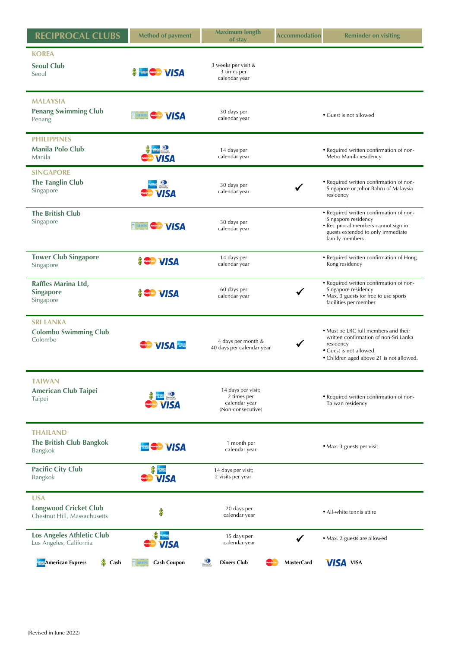| <b>RECIPROCAL CLUBS</b>                                                    | <b>Method of payment</b>                                                              | <b>Maximum length</b><br>of stay                                             | <b>Accommodation</b> | <b>Reminder on visiting</b>                                                                                                                                       |
|----------------------------------------------------------------------------|---------------------------------------------------------------------------------------|------------------------------------------------------------------------------|----------------------|-------------------------------------------------------------------------------------------------------------------------------------------------------------------|
| <b>KOREA</b><br><b>Seoul Club</b><br>Seoul                                 | <b>Existence VISA</b>                                                                 | 3 weeks per visit &<br>3 times per<br>calendar year                          |                      |                                                                                                                                                                   |
| <b>MALAYSIA</b><br><b>Penang Swimming Club</b><br>Penang                   | E BURER MARGARE VISA                                                                  | 30 days per<br>calendar year                                                 |                      | • Guest is not allowed                                                                                                                                            |
| <b>PHILIPPINES</b><br>Manila Polo Club<br>Manila                           | $\underbrace{\hspace{2.3cm}\textbf{O}}_{\textbf{Darm}\, \textbf{Coh}}$<br><b>VISA</b> | 14 days per<br>calendar year                                                 |                      | • Required written confirmation of non-<br>Metro Manila residency                                                                                                 |
| <b>SINGAPORE</b><br><b>The Tanglin Club</b><br>Singapore                   | $rac{1}{\sqrt{2}}$<br><b>VISA</b>                                                     | 30 days per<br>calendar year                                                 |                      | • Required written confirmation of non-<br>Singapore or Johor Bahru of Malaysia<br>residency                                                                      |
| <b>The British Club</b><br>Singapore                                       | <b>E BUREAU MARGARE VISA</b>                                                          | 30 days per<br>calendar year                                                 |                      | • Required written confirmation of non-<br>Singapore residency<br>• Reciprocal members cannot sign in<br>guests extended to only immediate<br>family members      |
| <b>Tower Club Singapore</b><br>Singapore                                   | <b>SGO VISA</b>                                                                       | 14 days per<br>calendar year                                                 |                      | • Required written confirmation of Hong<br>Kong residency                                                                                                         |
| Raffles Marina Ltd,<br><b>Singapore</b><br>Singapore                       | <b>SGO VISA</b>                                                                       | 60 days per<br>calendar year                                                 | √                    | • Required written confirmation of non-<br>Singapore residency<br>• Max. 3 guests for free to use sports<br>facilities per member                                 |
| <b>SRI LANKA</b><br><b>Colombo Swimming Club</b><br>Colombo                | <b>MANUSA TERR</b>                                                                    | 4 days per month &<br>40 days per calendar year                              |                      | • Must be LRC full members and their<br>written confirmation of non-Sri Lanka<br>residency<br>• Guest is not allowed.<br>• Children aged above 21 is not allowed. |
| <b>TAIWAN</b><br><b>American Club Taipei</b><br>Taipei                     | $rac{1}{\sqrt{2}}$<br><b>VISA</b>                                                     | 14 days per visit;<br>2 times per<br>calendar year<br>(Non-consecutive)      |                      | • Required written confirmation of non-<br>Taiwan residency                                                                                                       |
| <b>THAILAND</b><br><b>The British Club Bangkok</b><br><b>Bangkok</b>       | <b>WISA</b>                                                                           | 1 month per<br>calendar year                                                 |                      | • Max. 3 guests per visit                                                                                                                                         |
| <b>Pacific City Club</b><br><b>Bangkok</b>                                 | <b>VISA</b>                                                                           | 14 days per visit;<br>2 visits per year.                                     |                      |                                                                                                                                                                   |
| <b>USA</b><br><b>Longwood Cricket Club</b><br>Chestnut Hill, Massachusetts | \$                                                                                    | 20 days per<br>calendar year                                                 |                      | • All-white tennis attire                                                                                                                                         |
| Los Angeles Athletic Club<br>Los Angeles, California                       | ALCOHOL<br>ESTELLES<br><b>VISA</b>                                                    | 15 days per<br>calendar year                                                 | $\checkmark$         | • Max. 2 guests are allowed                                                                                                                                       |
| <b>S</b> Cash<br><b>American Express</b>                                   | <b>Cash Coupon</b>                                                                    | $\sum_{\substack{\text{harmonic} \\ \text{harmonic}}}$<br><b>Diners Club</b> | <b>MasterCard</b>    | <b>VISA VISA</b>                                                                                                                                                  |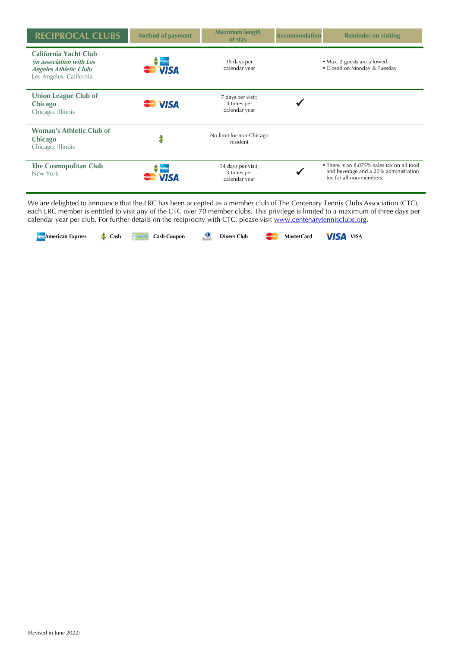| <b>RECIPROCAL CLUBS</b>                                                                                              | <b>Method of payment</b>           | <b>Maximum length</b><br>of stay                   | <b>Accommodation</b> | <b>Reminder on visiting</b>                                                                                     |
|----------------------------------------------------------------------------------------------------------------------|------------------------------------|----------------------------------------------------|----------------------|-----------------------------------------------------------------------------------------------------------------|
| <b>California Yacht Club</b><br>(in association with Los<br><b>Angeles Athletic Club)</b><br>Los Angeles, California | ZALESZA<br>ESHUA<br><b>CO</b> VISA | 15 days per<br>calendar year                       |                      | • Max. 2 guests are allowed<br>• Closed on Monday & Tuesday                                                     |
| <b>Union League Club of</b><br>Chicago<br>Chicago, Illinois                                                          | <b>WISA</b>                        | 7 days per visit;<br>4 times per<br>calendar year  |                      |                                                                                                                 |
| <b>Woman's Athletic Club of</b><br>Chicago<br>Chicago, Illinois                                                      |                                    | No limit for non-Chicago<br>resident               |                      |                                                                                                                 |
| <b>The Cosmopolitan Club</b><br>New York                                                                             |                                    | 14 days per visit;<br>3 times per<br>calendar year |                      | • There is an 8.875% sales tax on all food<br>and beverage and a 20% administration<br>fee for all non-members. |

We are delighted to announce that the LRC has been accepted as a member club of The Centenary Tennis Clubs Association (CTC), each LRC member is entitled to visit any of the CTC over 70 member clubs. This privilege is limited to a maximum of three days per calendar year per club. For further details on the reciprocity with CTC, please visit [www.centenarytennisclubs.org.](http://www.centenarytennisclubs.org/)

**American Express Section Cash Coupon Cash Coupon Cash Coupon Cash Coupon Diners Club MasterCard VISA** VISA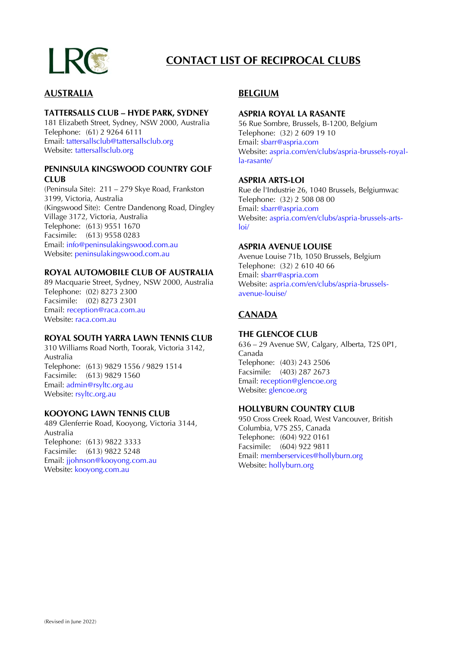

# **CONTACT LIST OF RECIPROCAL CLUBS**

### **AUSTRALIA**

#### **TATTERSALLS CLUB – HYDE PARK, SYDNEY**

181 Elizabeth Street, Sydney, NSW 2000, Australia Telephone: (61) 2 9264 6111 Email: tattersallsclub@tattersallsclub.org Website: tattersallsclub.org

#### **PENINSULA KINGSWOOD COUNTRY GOLF CLUB**

(Peninsula Site): 211 – 279 Skye Road, Frankston 3199, Victoria, Australia (Kingswood Site): Centre Dandenong Road, Dingley Village 3172, Victoria, Australia Telephone: (613) 9551 1670 Facsimile: (613) 9558 0283 Email: [info@peninsulakingswood.com.au](mailto:info@peninsulakingswood.com.au) Website: [peninsulakingswood.com.au](http://www.peninsulakingswood.com.au/)

#### **ROYAL AUTOMOBILE CLUB OF AUSTRALIA**

89 Macquarie Street, Sydney, NSW 2000, Australia Telephone: (02) 8273 2300 Facsimile: (02) 8273 2301 Email: [reception@raca.com.au](mailto:reception@raca.com.au) Website: [raca.com.au](http://www.raca.com.au/)

#### **ROYAL SOUTH YARRA LAWN TENNIS CLUB**

310 Williams Road North, Toorak, Victoria 3142, Australia Telephone: (613) 9829 1556 / 9829 1514 Facsimile: (613) 9829 1560 Email: [admin@rsyltc.org.au](mailto:admin@rsyltc.org.au) Website: [rsyltc.org.au](http://www.rsyltc.org.au/)

#### **KOOYONG LAWN TENNIS CLUB**

489 Glenferrie Road, Kooyong, Victoria 3144, Australia Telephone: (613) 9822 3333 Facsimile: (613) 9822 5248 Email: [jjohnson@kooyong.com.au](mailto:jjohnson@kooyong.com.au) Website: [kooyong.com.au](http://www.kooyong.com.au/)

### **BELGIUM**

#### **ASPRIA ROYAL LA RASANTE**

56 Rue Sombre, Brussels, B-1200, Belgium Telephone: (32) 2 609 19 10 Email: [sbarr@aspria.com](mailto:kfernandes@aspria.com) Website: [aspria.com/en/clubs/aspria-brussels-royal](http://www.aspria.com/en/clubs/aspria-brussels-royal-la-rasante/)[la-rasante/](http://www.aspria.com/en/clubs/aspria-brussels-royal-la-rasante/)

#### **ASPRIA ARTS-LOI**

Rue de l'Industrie 26, 1040 Brussels, Belgiumwac Telephone: (32) 2 508 08 00 Email: sbarr@aspria.com Website: [aspria.com/en/clubs/aspria-brussels-arts](http://www.aspria.com/en/clubs/aspria-brussels-arts-loi/)[loi/](http://www.aspria.com/en/clubs/aspria-brussels-arts-loi/)

#### **ASPRIA AVENUE LOUISE**

Avenue Louise 71b, 1050 Brussels, Belgium Telephone: (32) 2 610 40 66 Email: [sbarr@aspria.com](mailto:kfernandes@aspria.com) Website: [aspria.com/en/clubs/aspria-brussels](http://www.aspria.com/en/clubs/aspria-brussels-avenue-louise/)[avenue-louise/](http://www.aspria.com/en/clubs/aspria-brussels-avenue-louise/)

### **CANADA**

#### **THE GLENCOE CLUB**

636 – 29 Avenue SW, Calgary, Alberta, T2S 0P1, Canada Telephone: (403) 243 2506 Facsimile: (403) 287 2673 Email: reception@glencoe.org Website: [glencoe.org](www.glencoe.org)

### **HOLLYBURN COUNTRY CLUB**

950 Cross Creek Road, West Vancouver, British Columbia, V7S 2S5, Canada Telephone: (604) 922 0161 Facsimile: (604) 922 9811 Email[: memberservices@hollyburn.org](mailto:memberservices@hollyburn.org) Website[: hollyburn.org](http://www.hollyburn.org/)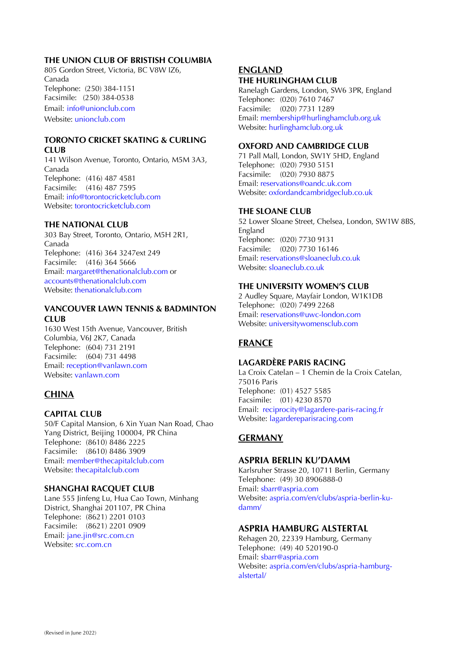#### **THE UNION CLUB OF BRISTISH COLUMBIA**

805 Gordon Street, Victoria, BC V8W IZ6, Canada Telephone: (250) 384-1151 Facsimile: (250) 384-0538 Email: [info@unionclub.com](mailto:info@unionclub.com) Website: unionclub.com

#### **TORONTO CRICKET SKATING & CURLING CLUB**

141 Wilson Avenue, Toronto, Ontario, M5M 3A3, Canada Telephone: (416) 487 4581 Facsimile: (416) 487 7595 Email: [info@torontocricketclub.com](mailto:info@torontocricketclub.com) Website: [torontocricketclub.com](http://www.torontocricketclub.com/)

### **THE NATIONAL CLUB**

303 Bay Street, Toronto, Ontario, M5H 2R1, Canada Telephone: (416) 364 3247ext 249 Facsimile: (416) 364 5666 Email: [margaret@thenationalclub.com](mailto:margaret@thenationalclub.com) or [accounts@thenationalclub.com](mailto:accounts@thenationalclub.com) Website: [thenationalclub.com](http://www.thenationalclub.com/)

#### **VANCOUVER LAWN TENNIS & BADMINTON CLUB**

1630 West 15th Avenue, Vancouver, British Columbia, V6J 2K7, Canada Telephone: (604) 731 2191 Facsimile: (604) 731 4498 Email: [reception@vanlawn.com](mailto:reception@vanlawn.com) Website: [vanlawn.com](http://www.vanlawn.com/)

## **CHINA**

### **CAPITAL CLUB**

50/F Capital Mansion, 6 Xin Yuan Nan Road, Chao Yang District, Beijing 100004, PR China Telephone: (8610) 8486 2225 Facsimile: (8610) 8486 3909 Email: [member@thecapitalclub.com](mailto:member@thecapitalclub.com) Website: [thecapitalclub.com](http://www.thecapitalclub.com/)

#### **SHANGHAI RACQUET CLUB**

Lane 555 Jinfeng Lu, Hua Cao Town, Minhang District, Shanghai 201107, PR China Telephone: (8621) 2201 0103 Facsimile: (8621) 2201 0909 Email: [jane.jin@src.com.cn](mailto:jane.jin@src.com.cn) Website: [src.com.cn](http://www.src.com.cn/)

#### **ENGLAND THE HURLINGHAM CLUB**

Ranelagh Gardens, London, SW6 3PR, England Telephone: (020) 7610 7467 Facsimile: (020) 7731 1289 Email[: membership@hurlinghamclub.org.uk](mailto:membership@hurlinghamclub.org.uk) Website: hurlinghamclub.org.uk

#### **OXFORD AND CAMBRIDGE CLUB**

71 Pall Mall, London, SW1Y 5HD, England Telephone: (020) 7930 5151 Facsimile: (020) 7930 8875 Email[: reservations@oandc.uk.com](mailto:reservations@oandc.uk.com) Website[: oxfordandcambridgeclub.co.uk](http://www.oxfordandcambridgeclub.co.uk/)

### **THE SLOANE CLUB**

52 Lower Sloane Street, Chelsea, London, SW1W 8BS, England Telephone: (020) 7730 9131 Facsimile: (020) 7730 16146 Email[: reservations@sloaneclub.co.uk](mailto:reservations@sloaneclub.co.uk) Website[: sloaneclub.co.uk](http://www.sloaneclub.co.uk/)

#### **THE UNIVERSITY WOMEN'S CLUB**

2 Audley Square, Mayfair London, W1K1DB Telephone: (020) 7499 2268 Email: reservations@uwc-london.com Website: universitywomensclub.com

## **FRANCE**

#### **LAGARDÈRE PARIS RACING**

La Croix Catelan – 1 Chemin de la Croix Catelan, 75016 Paris Telephone: (01) 4527 5585 Facsimile: (01) 4230 8570 Email: [reciprocity@lagardere-paris-racing.fr](mailto:reciprocity@lagardere-paris-racing.fr) Website: [lagardereparisracing.com](http://www.lagardereparisracing.com/)

### **GERMANY**

### **ASPRIA BERLIN KU'DAMM**

Karlsruher Strasse 20, 10711 Berlin, Germany Telephone: (49) 30 8906888-0 Email: [sbarr@aspria.com](mailto:kfernandes@aspria.com) Website: [aspria.com/en/clubs/aspria-berlin-ku](http://www.aspria.com/en/clubs/aspria-berlin-ku-damm/)[damm/](http://www.aspria.com/en/clubs/aspria-berlin-ku-damm/)

### **ASPRIA HAMBURG ALSTERTAL**

Rehagen 20, 22339 Hamburg, Germany Telephone: (49) 40 520190-0 Email: [sbarr@aspria.com](mailto:kfernandes@aspria.com) Website: [aspria.com/en/clubs/aspria-hamburg](http://www.aspria.com/en/clubs/aspria-hamburg-alstertal/)[alstertal/](http://www.aspria.com/en/clubs/aspria-hamburg-alstertal/)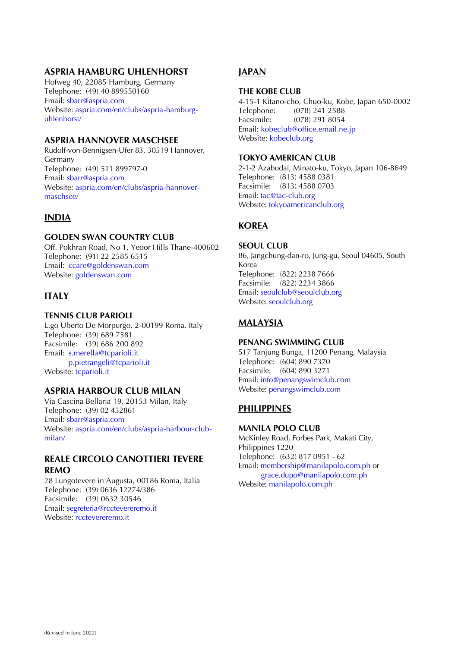### **ASPRIA HAMBURG UHLENHORST**

Hofweg 40, 22085 Hamburg, Germany Telephone: (49) 40 899550160 Email: [sbarr@aspria.com](mailto:kfernandes@aspria.com) Website: [aspria.com/en/clubs/aspria-hamburg](http://www.aspria.com/en/clubs/aspria-hamburg-uhlenhorst/)[uhlenhorst/](http://www.aspria.com/en/clubs/aspria-hamburg-uhlenhorst/)

#### **ASPRIA HANNOVER MASCHSEE**

Rudolf-von-Bennigsen-Ufer 83, 30519 Hannover, Germany Telephone: (49) 511 899797-0 Email: [sbarr@aspria.com](mailto:kfernandes@aspria.com) Website: [aspria.com/en/clubs/aspria-hannover](http://www.aspria.com/en/clubs/aspria-hannover-maschsee/)[maschsee/](http://www.aspria.com/en/clubs/aspria-hannover-maschsee/)

### **INDIA**

#### **GOLDEN SWAN COUNTRY CLUB**

Off. Pokhran Road, No 1, Yeoor Hills Thane-400602 Telephone: (91) 22 2585 6515 Email: [ccare@goldenswan.com](mailto:ccare@goldenswan.com) Website: [goldenswan.com](http://www.goldenswan.com/)

### **ITALY**

#### **TENNIS CLUB PARIOLI**

L.go Uberto De Morpurgo, 2-00199 Roma, Italy Telephone: (39) 689 7581 Facsimile: (39) 686 200 892 Email: [s.merella@tcparioli.it](mailto:s.merella@tcparioli.it) [p.pietrangeli@tcparioli.it](mailto:p.pietrangeli@tcparioli.it) Website: [tcparioli.it](http://www.tcparioli.it/)

#### **ASPRIA HARBOUR CLUB MILAN**

Via Cascina Bellaria 19, 20153 Milan, Italy Telephone: (39) 02 452861 Email: [sbarr@aspria.com](mailto:kfernandes@aspria.com) Website: [aspria.com/en/clubs/aspria-harbour-club](http://www.aspria.com/en/clubs/aspria-harbour-club-milan/)[milan/](http://www.aspria.com/en/clubs/aspria-harbour-club-milan/)

#### **REALE CIRCOLO CANOTTIERI TEVERE REMO**

28 Lungotevere in Augusta, 00186 Roma, Italia Telephone: (39) 0636 12274/386 Facsimile: (39) 0632 30546 Email: [segreteria@rcctevereremo.it](mailto:segreteria@rcctevereremo.it) Website: [rcctevereremo.it](http://www.rcctevereremo.it/)

### **JAPAN**

#### **THE KOBE CLUB**

4-15-1 Kitano-cho, Chuo-ku, Kobe, Japan 650-0002 Telephone: (078) 241 2588 Facsimile: (078) 291 8054 Email: [kobeclub@office.email.ne.jp](mailto:kobeclub@office.email.ne.jp) Website: [kobeclub.org](http://www.kobeclub.org/)

#### **TOKYO AMERICAN CLUB**

2-1-2 Azabudai, Minato-ku, Tokyo, Japan 106-8649 Telephone: (813) 4588 0381 Facsimile: (813) 4588 0703 Email[: tac@tac-club.org](mailto:tac@tac-club.org) Website[: tokyoamericanclub.org](http://www.tokyoamericanclub.org/)

### **KOREA**

#### **SEOUL CLUB**

86, Jangchung-dan-ro, Jung-gu, Seoul 04605, South Korea Telephone: (822) 2238 7666 Facsimile: (822) 2234 3866 Email[: seoulclub@seoulclub.org](mailto:seoulclub@seoulclub.org) Website[: seoulclub.org](http://www.seoulclub.org/)

### **MALAYSIA**

#### **PENANG SWIMMING CLUB**

517 Tanjung Bunga, 11200 Penang, Malaysia Telephone: (604) 890 7370 Facsimile: (604) 890 3271 Email[: info@penangswimclub.com](mailto:info@penangswimclub.com) Website[: penangswimclub.com](http://www.penangswimclub.com/)

#### **PHILIPPINES**

#### **MANILA POLO CLUB**

McKinley Road, Forbes Park, Makati City, Philippines 1220 Telephone: (632) 817 0951 - 62 Email[: membership@manilapolo.com.ph](mailto:membership@manilapolo.com.ph) or grace.dupo@manilapolo.com.ph Website[: manilapolo.com.ph](http://www.manilapolo.com.ph/)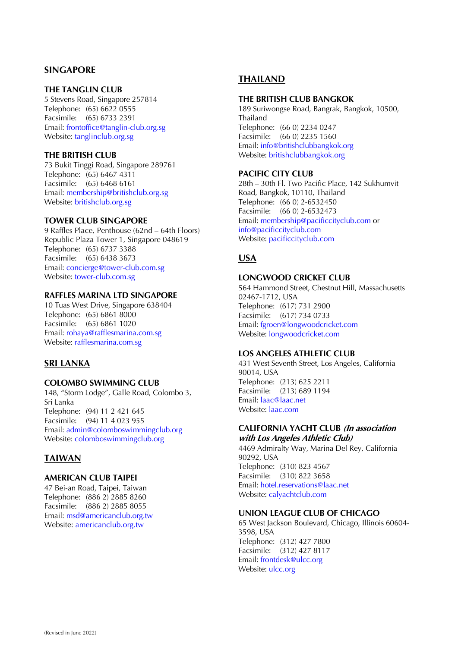### **SINGAPORE**

#### **THE TANGLIN CLUB**

5 Stevens Road, Singapore 257814 Telephone: (65) 6622 0555 Facsimile: (65) 6733 2391 Email: [frontoffice@tanglin-club.org.sg](mailto:frontoffice@tanglin-club.org.sg) Website: [tanglinclub.org.sg](http://www.tanglinclub.org.sg/)

#### **THE BRITISH CLUB**

73 Bukit Tinggi Road, Singapore 289761 Telephone: (65) 6467 4311 Facsimile: (65) 6468 6161 Email: membership@britishclub.org.sg Website: [britishclub.org.sg](http://www.britishclub.org.sg/)

#### **TOWER CLUB SINGAPORE**

9 Raffles Place, Penthouse (62nd – 64th Floors) Republic Plaza Tower 1, Singapore 048619 Telephone: (65) 6737 3388 Facsimile: (65) 6438 3673 Email: [concierge@tower-club.com.sg](mailto:concierge@tower-club.com.sg) Website: [tower-club.com.sg](http://www.tower-club.com.sg/)

#### **RAFFLES MARINA LTD SINGAPORE**

10 Tuas West Drive, Singapore 638404 Telephone: (65) 6861 8000 Facsimile: (65) 6861 1020 Email: [rohaya@rafflesmarina.com.sg](mailto:rohaya@rafflesmarina.com.sg) Website: rafflesmarina.com.sg

#### **SRI LANKA**

#### **COLOMBO SWIMMING CLUB**

148, "Storm Lodge", Galle Road, Colombo 3, Sri Lanka Telephone: (94) 11 2 421 645 Facsimile: (94) 11 4 023 955 Email: [admin@colomboswimmingclub.org](mailto:admin@colomboswimmingclub.org) Website: [colomboswimmingclub.org](http://www.colomboswimmingclub.org/)

#### **TAIWAN**

#### **AMERICAN CLUB TAIPEI**

47 Bei-an Road, Taipei, Taiwan Telephone: (886 2) 2885 8260 Facsimile: (886 2) 2885 8055 Email: [msd@americanclub.org.tw](mailto:msd@americanclub.org.tw) Website: [americanclub.org.tw](http://www.americanclub.org.tw/)

#### **THAILAND**

#### **THE BRITISH CLUB BANGKOK**

189 Suriwongse Road, Bangrak, Bangkok, 10500, Thailand Telephone: (66 0) 2234 0247 Facsimile: (66 0) 2235 1560 Email[: info@britishclubbangkok.org](mailto:info@britishclubbangkok.org) Website: britishclubbangkok.org

#### **PACIFIC CITY CLUB**

28th – 30th Fl. Two Pacific Place, 142 Sukhumvit Road, Bangkok, 10110, Thailand Telephone: (66 0) 2-6532450 Facsimile: (66 0) 2-6532473 Email[: membership@pacificcityclub.com](mailto:mbr.mgr@pacificcityclub.com) or [info@pacificcityclub.com](mailto:info@pacificcityclub.com) Website: pacificcityclub.com

#### **USA**

#### **LONGWOOD CRICKET CLUB**

564 Hammond Street, Chestnut Hill, Massachusetts 02467-1712, USA Telephone: (617) 731 2900 Facsimile: (617) 734 0733 Email[: fgroen@longwoodcricket.com](mailto:fgroen@longwoodcricket.com) Website[: longwoodcricket.com](http://www.longwoodcricket.com/)

#### **LOS ANGELES ATHLETIC CLUB**

431 West Seventh Street, Los Angeles, California 90014, USA Telephone: (213) 625 2211 Facsimile: (213) 689 1194 Email[: laac@laac.net](mailto:laac@laac.net) Website[: laac.com](http://www.laac.com/)

#### **CALIFORNIA YACHT CLUB (In association with Los Angeles Athletic Club)**

4469 Admiralty Way, Marina Del Rey, California 90292, USA Telephone: (310) 823 4567 Facsimile: (310) 822 3658 Email[: hotel.reservations@laac.net](mailto:hotel.reservations@laac.net) Website[: calyachtclub.com](http://www.calyachtclub.com/)

#### **UNION LEAGUE CLUB OF CHICAGO**

65 West Jackson Boulevard, Chicago, Illinois 60604- 3598, USA Telephone: (312) 427 7800 Facsimile: (312) 427 8117 Email: frontdesk@ulcc.org Website[: ulcc.org](http://www.ulcc.org/)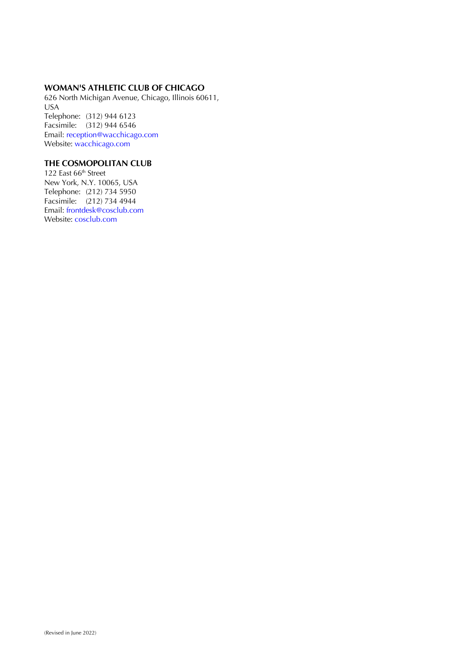#### **WOMAN'S ATHLETIC CLUB OF CHICAGO**

626 North Michigan Avenue, Chicago, Illinois 60611, USA Telephone: (312) 944 6123 Facsimile: (312) 944 6546 Email: [reception@wacchicago.com](mailto:reception@wacchicago.com) Website: [wacchicago.com](http://www.wacchicago.com/)

#### **THE COSMOPOLITAN CLUB**

122 East 66<sup>th</sup> Street New York, N.Y. 10065, USA Telephone: (212) 734 5950 Facsimile: (212) 734 4944 Email: [frontdesk@cosclub.com](mailto:frontdesk@cosclub.com) Website: cosclub.com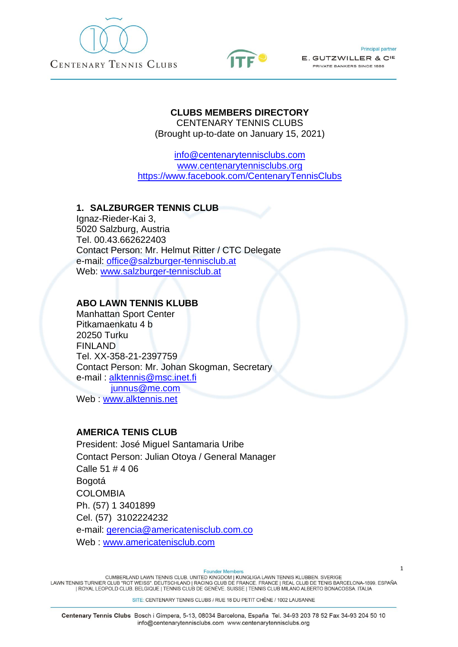



**Principal partner** 

E. GUTZWILLER & CIE PRIVATE BANKERS SINCE 1886

## **CLUBS MEMBERS DIRECTORY**

CENTENARY TENNIS CLUBS (Brought up-to-date on January 15, 2021)

[info@centenarytennisclubs.com](mailto:info@centenarytennisclubs.com) [www.centenarytennisclubs.org](http://www.centenarytennisclubs.org/) <https://www.facebook.com/CentenaryTennisClubs>

### **1. SALZBURGER TENNIS CLUB**

Ignaz-Rieder-Kai 3, 5020 Salzburg, Austria Tel. 00.43.662622403 Contact Person: Mr. Helmut Ritter / CTC Delegate e-mail: [office@salzburger-tennisclub.at](mailto:office@salzburger-tennisclub.at) Web: [www.salzburger-tennisclub.at](http://www.salzburger-tennisclub.at/)

### **ABO LAWN TENNIS KLUBB**

Manhattan Sport Center Pitkamaenkatu 4 b 20250 Turku FINLAND Tel. XX-358-21-2397759 Contact Person: Mr. Johan Skogman, Secretary e-mail : [alktennis@msc.inet.fi](mailto:alktennis@msc.inet.fi) [junnus@me.com](mailto:junnus@me.com) Web : [www.alktennis.net](http://www.alktennis.net/)

### **AMERICA TENIS CLUB**

President: José Miguel Santamaria Uribe Contact Person: Julian Otoya / General Manager Calle 51 # 4 06 Bogotá COLOMBIA Ph. (57) 1 3401899 Cel. (57) 3102224232 e-mail: [gerencia@americatenisclub.com.co](mailto:gerencia@americatenisclub.com.co) Web : [www.americatenisclub.com](http://www.americatenisclub.com/)

**Founder Members** 

CUMBERLAND LAWN TENNIS CLUB. UNITED KINGDOM | KUNGLIGA LAWN TENNIS KLUBBEN. SVERIGE<br>LAWN TENNIS TURNIER CLUB "ROT WEISS". DEUTSCHLAND | RACING CLUB DE FRANCE. FRANCE | REAL CLUB DE TENIS BARCELONA-1899. ESPAÑA | ROYAL LEOPOLD CLUB. BELGIQUE | TENNIS CLUB DE GENÈVE. SUISSE | TENNIS CLUB MILANO ALBERTO BONACOSSA. ITALIA

SITE: CENTENARY TENNIS CLUBS / RUE 18 DU PETIT CHÊNE / 1002 LAUSANNE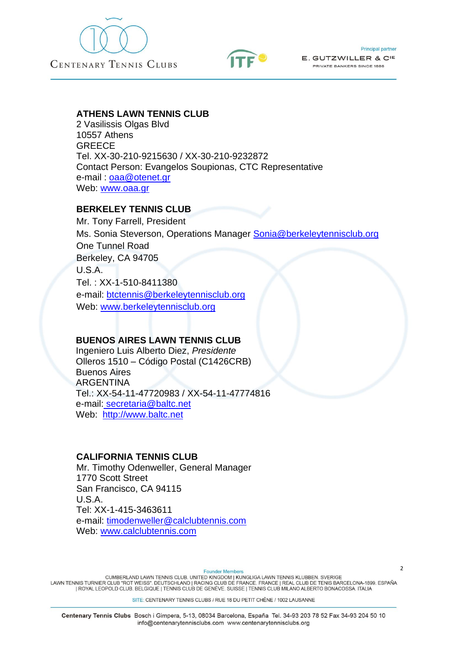



### **ATHENS LAWN TENNIS CLUB**

2 Vasilissis Olgas Blvd 10557 Athens GREECE Tel. XX-30-210-9215630 / XX-30-210-9232872 Contact Person: Evangelos Soupionas, CTC Representative e-mail: <u>oaa@otenet.gr</u> Web: [www.oaa.gr](http://www.oaa.gr/)

### **BERKELEY TENNIS CLUB**

Mr. Tony Farrell, President Ms. Sonia Steverson, Operations Manager [Sonia@berkeleytennisclub.org](mailto:Sonia@berkeleytennisclub.org) One Tunnel Road Berkeley, CA 94705 U.S.A. Tel. : XX-1-510-8411380 e-mail: [btctennis@berkeleytennisclub.org](mailto:btctennis@berkeleytennisclub.org) Web: [www.berkeleytennisclub.org](http://www.berkeleytennisclub.org/)

#### **BUENOS AIRES LAWN TENNIS CLUB**

 Ingeniero Luis Alberto Diez, *Presidente* Olleros 1510 – Código Postal (C1426CRB) Buenos Aires **ARGENTINA**  Tel.: XX-54-11-47720983 / XX-54-11-47774816 e-mail: [secretaria@baltc.net](mailto:secretaria@baltc.net) Web: [http://www.baltc.net](http://www.baltc.net/index.html)

### **CALIFORNIA TENNIS CLUB**

Mr. Timothy Odenweller, General Manager 1770 Scott Street San Francisco, CA 94115 U.S.A. Tel: XX-1-415-3463611 e-mail: [timodenweller@calclubtennis.com](mailto:timodenweller@calclubtennis.com) Web: [www.calclubtennis.com](http://www.calclubtennis.com/)

**Founder Members** 

CUMBERLAND LAWN TENNIS CLUB. UNITED KINGDOM | KUNGLIGA LAWN TENNIS KLUBBEN. SVERIGE<br>LAWN TENNIS TURNIER CLUB "ROT WEISS". DEUTSCHLAND | RACING CLUB DE FRANCE. FRANCE | REAL CLUB DE TENIS BARCELONA-1899. ESPAÑA | ROYAL LEOPOLD CLUB. BELGIQUE | TENNIS CLUB DE GENÈVE. SUISSE | TENNIS CLUB MILANO ALBERTO BONACOSSA. ITALIA

SITE: CENTENARY TENNIS CLUBS / RUE 18 DU PETIT CHÊNE / 1002 LAUSANNE

 $\overline{2}$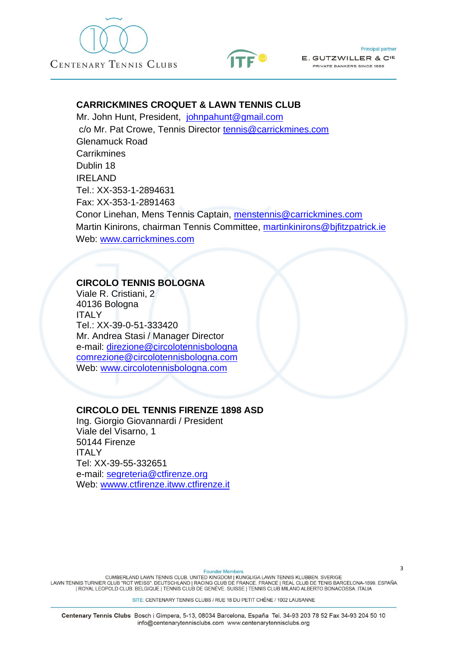



### **CARRICKMINES CROQUET & LAWN TENNIS CLUB**

Mr. John Hunt, President, [johnpahunt@gmail.com](mailto:johnpahunt@gmail.com) c/o Mr. Pat Crowe, Tennis Director [tennis@carrickmines.com](mailto:tennis@carrickmines.com) Glenamuck Road **Carrikmines** Dublin 18 IRELAND Tel.: XX-353-1-2894631 Fax: XX-353-1-2891463 Conor Linehan, Mens Tennis Captain, [menstennis@carrickmines.com](mailto:menstennis@carrickmines.com) Martin Kinirons, chairman Tennis Committee, [martinkinirons@bjfitzpatrick.ie](mailto:martinkinirons@bjfitzpatrick.ie) Web: [www.carrickmines.com](http://www.carrickmines.com/)

### **CIRCOLO TENNIS BOLOGNA**

Viale R. Cristiani, 2 40136 Bologna ITALY Tel.: XX-39-0-51-333420 Mr. Andrea Stasi / Manager Director e-mail: [direzione@circolotennisbologna](mailto:direzione@circolotennisbologna%20%20%20comrezione@circolotennisbologna.com)  [comrezione@circolotennisbologna.com](mailto:direzione@circolotennisbologna%20%20%20comrezione@circolotennisbologna.com) Web: [www.circolotennisbologna.com](http://www.circolotennisbologna.com/)

#### **CIRCOLO DEL TENNIS FIRENZE 1898 ASD**

Ing. Giorgio Giovannardi / President Viale del Visarno, 1 50144 Firenze **ITALY** Tel: XX-39-55-332651 e-mail: [segreteria@ctfirenze.org](mailto:segreteria@ctfirenze.org) Web: [wwww.ctfirenze.itww.ctfirenze.it](http://www.ctfirenze.it/)

**Founder Members** CUMBERLAND LAWN TENNIS CLUB. UNITED KINGDOM | KUNGLIGA LAWN TENNIS KLUBBEN. SVERIGE<br>LAWN TENNIS TURNIER CLUB "ROT WEISS". DEUTSCHLAND | RACING CLUB DE FRANCE. FRANCE | REAL CLUB DE TENIS BARCELONA-1899. ESPAÑA | ROYAL LEOPOLD CLUB. BELGIQUE | TENNIS CLUB DE GENÈVE. SUISSE | TENNIS CLUB MILANO ALBERTO BONACOSSA. ITALIA

SITE: CENTENARY TENNIS CLUBS / RUE 18 DU PETIT CHÊNE / 1002 LAUSANNE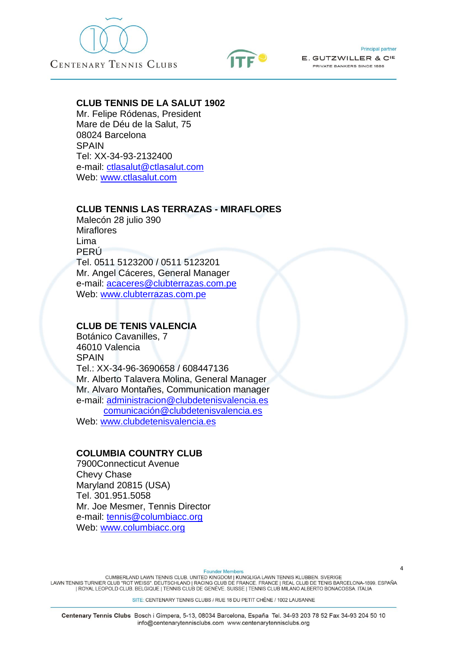



**Principal partner** 

E. GUTZWILLER & CIE PRIVATE BANKERS SINCE 1886

#### **CLUB TENNIS DE LA SALUT 1902**

Mr. Felipe Ródenas, President Mare de Déu de la Salut, 75 08024 Barcelona **SPAIN** Tel: XX-34-93-2132400 e-mail: [ctlasalut@ctlasalut.com](mailto:ctlasalut@ctlasalut.com) Web: [www.ctlasalut.com](http://www.ctlasalut.com/)

#### **CLUB TENNIS LAS TERRAZAS - MIRAFLORES**

Malecón 28 julio 390 **Miraflores** Lima PERÚ Tel. 0511 5123200 / 0511 5123201 Mr. Angel Cáceres, General Manager e-mail: [acaceres@clubterrazas.com.pe](mailto:acaceres@clubterrazas.com.pe) Web: [www.clubterrazas.com.pe](http://www.clubterrazas.com.pe/)

### **CLUB DE TENIS VALENCIA**

Botánico Cavanilles, 7 46010 Valencia **SPAIN** Tel.: XX-34-96-3690658 / 608447136 Mr. Alberto Talavera Molina, General Manager Mr. Alvaro Montañes, Communication manager e-mail: administracion@clubdetenisvalencia.es [comunicación@clubdetenisvalencia.es](mailto:comunicación@clubdetenisvalencia.es) Web: [www.clubdetenisvalencia.es](http://www.clubdetenisvalencia.es/)

### **COLUMBIA COUNTRY CLUB**

7900Connecticut Avenue Chevy Chase Maryland 20815 (USA) Tel. 301.951.5058 Mr. Joe Mesmer, Tennis Director e-mail: [tennis@columbiacc.org](mailto:tennis@columbiacc.org) Web: [www.columbiacc.org](http://www.columbiacc.org/)

**Founder Members** 

CUMBERLAND LAWN TENNIS CLUB. UNITED KINGDOM | KUNGLIGA LAWN TENNIS KLUBBEN. SVERIGE<br>LAWN TENNIS TURNIER CLUB "ROT WEISS". DEUTSCHLAND | RACING CLUB DE FRANCE. FRANCE | REAL CLUB DE TENIS BARCELONA-1899. ESPAÑA | ROYAL LEOPOLD CLUB. BELGIQUE | TENNIS CLUB DE GENÈVE. SUISSE | TENNIS CLUB MILANO ALBERTO BONACOSSA. ITALIA

SITE: CENTENARY TENNIS CLUBS / RUE 18 DU PETIT CHÊNE / 1002 LAUSANNE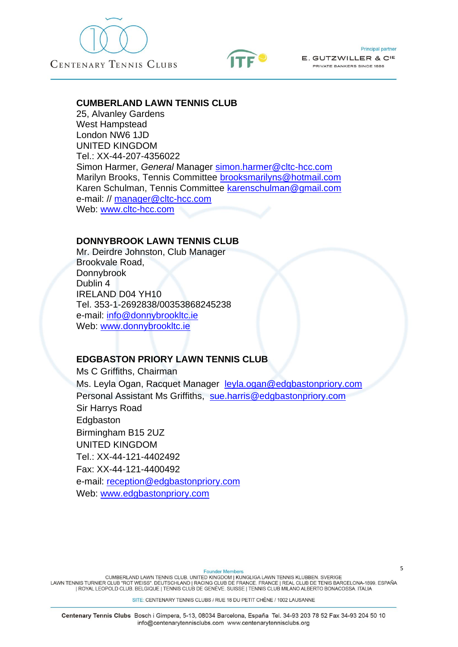



#### **CUMBERLAND LAWN TENNIS CLUB**

25, Alvanley Gardens West Hampstead London NW6 1JD UNITED KINGDOM Tel.: XX-44-207-4356022 Simon Harmer, *General* Manager [simon.harmer@cltc-hcc.com](mailto:simon.harmer@cltc-hcc.com) Marilyn Brooks, Tennis Committee brooksmarilyns@hotmail.com Karen Schulman, Tennis Committee karenschulman@gmail.com e-mail: // [manager@cltc-hcc.com](mailto:manager@cltc-hcc.com) Web: [www.cltc-hcc.com](http://www.cltc-hcc.com/)

#### **DONNYBROOK LAWN TENNIS CLUB**

Mr. Deirdre Johnston, Club Manager Brookvale Road, Donnybrook Dublin 4 IRELAND D04 YH10 Tel. 353-1-2692838/00353868245238 e-mail: [info@donnybrookltc.ie](mailto:info@donnybrookltc.ie) Web: [www.donnybrookltc.ie](http://www.donnybrookltc.ie/)

### **EDGBASTON PRIORY LAWN TENNIS CLUB**

Ms C Griffiths, Chairman Ms. Leyla Ogan, Racquet Manager [leyla.ogan@edgbastonpriory.com](mailto:leyla.ogan@edgbastonpriory.com) Personal Assistant Ms Griffiths, [sue.harris@edgbastonpriory.com](mailto:sue.harris@edgbastonpriory.com) Sir Harrys Road **Edgbaston** Birmingham B15 2UZ UNITED KINGDOM Tel.: XX-44-121-4402492 Fax: XX-44-121-4400492 e-mail: [reception@edgbastonpriory.com](mailto:reception@edgbastonpriory.com/%20%20leyla.ogan@edgbastonpriory.com) Web: [www.edgbastonpriory.com](http://www.edgbastonpriory.com/)

**Founder Members** 

CUMBERLAND LAWN TENNIS CLUB, UNITED KINGDOM I KUNGLIGA LAWN TENNIS KLUBBEN, SVERIGE LAWN TENNIS TURNIER CLUB "ROT WEISS". DEUTSCHLAND | RACING CLUB DE FRANCE. FRANCE | REAL CLUB DE TENIS BARCELONA-1899. ESPAÑA | ROYAL LEOPOLD CLUB. BELGIQUE | TENNIS CLUB DE GENÈVE. SUISSE | TENNIS CLUB MILANO ALBERTO BONACOSSA. ITALIA

SITE: CENTENARY TENNIS CLUBS / RUE 18 DU PETIT CHÊNE / 1002 LAUSANNE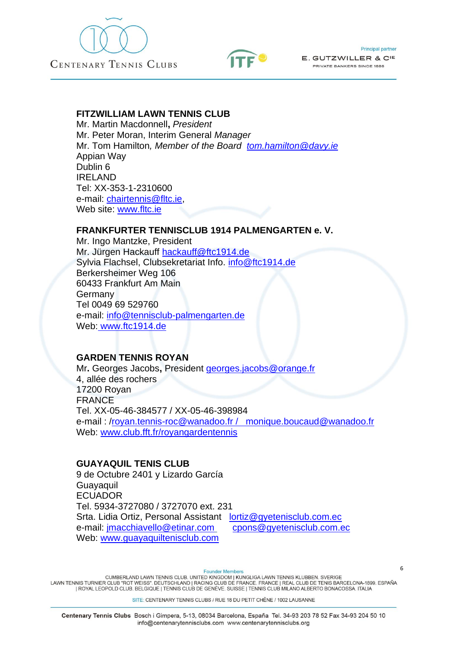



#### **FITZWILLIAM LAWN TENNIS CLUB**

Mr. Martin Macdonnell**,** *President* Mr. Peter Moran, Interim General *Manager* Mr. Tom Hamilton*, Member of the Board [tom.hamilton@davy.ie](mailto:tom.hamilton@davy.ie)* Appian Way Dublin 6 IRELAND Tel: XX-353-1-2310600 e-mail: [chairtennis@fltc.ie,](mailto:chairtennis@fltc.ie) Web site: [www.fltc.ie](http://www.fltc.ie/)

### **FRANKFURTER TENNISCLUB 1914 PALMENGARTEN e. V.**

Mr. Ingo Mantzke, President Mr. Jürgen Hackauff [hackauff@ftc1914.de](mailto:hackauff@ftc1914.de) Sylvia Flachsel, Clubsekretariat Info. [info@ftc1914.de](mailto:info@ftc1914.de) Berkersheimer Weg 106 60433 Frankfurt Am Main Germany Tel 0049 69 529760 e-mail: info@tennisclub-palmengarten.de Web: [www.ftc1914.de](http://www.ftc1914.de/)

### **GARDEN TENNIS ROYAN**

Mr**.** Georges Jacobs**,** President [georges.jacobs@orange.fr](mailto:georges.jacobs@orange.fr) 4, allée des rochers 17200 Royan FRANCE Tel. XX-05-46-384577 / XX-05-46-398984 e-mail : [/royan.tennis-roc@wanadoo.fr / monique.boucaud@wanadoo.fr](mailto:royan.tennis-roc@wanadoo.fr%20/%20%20%20monique.boucaud@wanadoo.fr) Web: [www.club.fft.fr/royangardentennis](http://www.club.fft.fr/royangardentennis)

### **GUAYAQUIL TENIS CLUB**

9 de Octubre 2401 y Lizardo García Guayaquil ECUADOR Tel. 5934-3727080 / 3727070 ext. 231 Srta. Lidia Ortiz, Personal Assistant [lortiz@gyetenisclub.com.ec](mailto:lortiz@gyetenisclub.com.ec) e-mail: [jmacchiavello@etinar.com](mailto:jmacchiavello@etinar.com) [cpons@gyetenisclub.com.ec](mailto:cpons@gyetenisclub.com.ec) Web: [www.guayaquiltenisclub.com](http://www.guayaquiltenisclub.com/)

**Founder Members** 

CUMBERLAND LAWN TENNIS CLUB. UNITED KINGDOM | KUNGLIGA LAWN TENNIS KLUBBEN. SVERIGE<br>LAWN TENNIS TURNIER CLUB "ROT WEISS". DEUTSCHLAND | RACING CLUB DE FRANCE. FRANCE | REAL CLUB DE TENIS BARCELONA-1899. ESPAÑA | ROYAL LEOPOLD CLUB. BELGIQUE | TENNIS CLUB DE GENÈVE. SUISSE | TENNIS CLUB MILANO ALBERTO BONACOSSA. ITALIA

SITE: CENTENARY TENNIS CLUBS / RUE 18 DU PETIT CHÊNE / 1002 LAUSANNE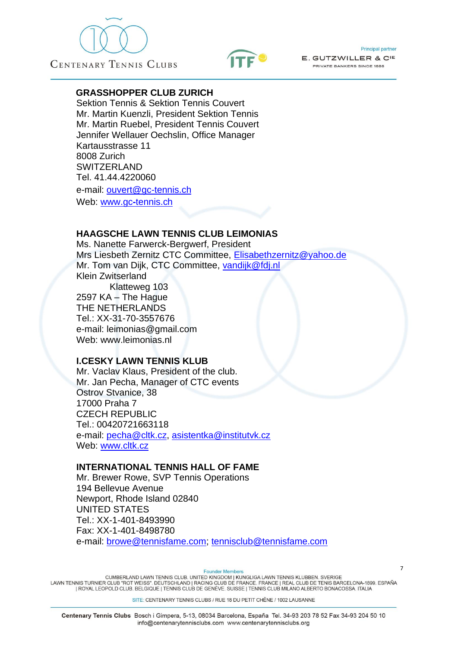





### **GRASSHOPPER CLUB ZURICH**

Sektion Tennis & Sektion Tennis Couvert Mr. Martin Kuenzli, President Sektion Tennis Mr. Martin Ruebel, President Tennis Couvert Jennifer Wellauer Oechslin, Office Manager Kartausstrasse 11 8008 Zurich SWITZERLAND Tel. 41.44.4220060 e-mail: [ouvert@gc-tennis.ch](mailto:ouvert@gc-tennis.ch) Web: www.gc**-**[tennis.ch](http://www.gc-tennis.ch/)

### **HAAGSCHE LAWN TENNIS CLUB LEIMONIAS**

Ms. Nanette Farwerck-Bergwerf, President Mrs Liesbeth Zernitz CTC Committee, [Elisabethzernitz@yahoo.de](mailto:Elisabethzernitz@yahoo.de) Mr. Tom van Dijk, CTC Committee, [vandijk@fdj.nl](mailto:vandijk@fdj.nl) Klein Zwitserland Klatteweg 103 2597 KA – The Hague THE NETHERLANDS Tel.: XX-31-70-3557676 e-mail: leimonias@gmail.com Web: www.leimonias.nl

### **I.CESKY LAWN TENNIS KLUB**

Mr. Vaclav Klaus, President of the club. Mr. Jan Pecha, Manager of CTC events Ostrov Stvanice, 38 17000 Praha 7 CZECH REPUBLIC Tel.: 00420721663118 e-mail: [pecha@cltk.cz,](mailto:pecha@cltk.cz) [asistentka@institutvk.cz](mailto:asistentka@institutvk.cz) Web: [www.cltk.cz](http://www.vupp.cz/CLTK)

### **INTERNATIONAL TENNIS HALL OF FAME**

Mr. Brewer Rowe, SVP Tennis Operations 194 Bellevue Avenue Newport, Rhode Island 02840 UNITED STATES Tel.: XX-1-401-8493990 Fax: XX-1-401-8498780 e-mail: [browe@tennisfame.com;](mailto:browe@tennisfame.com) [tennisclub@tennisfame.com](mailto:tennisclub@tennisfame.com)

**Founder Member** 

CUMBERLAND LAWN TENNIS CLUB, UNITED KINGDOM I KUNGLIGA LAWN TENNIS KLUBBEN, SVERIGE LAWN TENNIS TURNIER CLUB "ROT WEISS". DEUTSCHLAND | RACING CLUB DE FRANCE. FRANCE | REAL CLUB DE TENIS BARCELONA-1899. ESPAÑA | ROYAL LEOPOLD CLUB. BELGIQUE | TENNIS CLUB DE GENÈVE. SUISSE | TENNIS CLUB MILANO ALBERTO BONACOSSA. ITALIA

SITE: CENTENARY TENNIS CLUBS / RUE 18 DU PETIT CHÊNE / 1002 LAUSANNE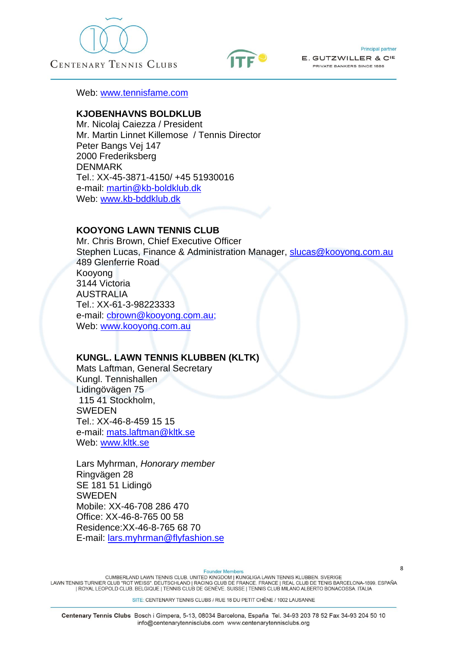





Web: [www.tennisfame.com](http://www.tennisfame.com/)

### **KJOBENHAVNS BOLDKLUB**

Mr. Nicolaj Caiezza / President Mr. Martin Linnet Killemose / Tennis Director Peter Bangs Vej 147 2000 Frederiksberg DENMARK Tel.: XX-45-3871-4150/ +45 51930016 e-mail: [martin@kb-boldklub.dk](mailto:martin@kb-boldklub.dk) Web: [www.kb-bddklub.dk](http://www.kb-bddklub.dk/)

#### **KOOYONG LAWN TENNIS CLUB**

Mr. Chris Brown, Chief Executive Officer Stephen Lucas, Finance & Administration Manager, slucas@kooyong.com.au 489 Glenferrie Road Kooyong 3144 Victoria AUSTRALIA Tel.: XX-61-3-98223333 e-mail: [cbrown@kooyong.com.au;](mailto:cbrown@kooyong.com.au) Web: [www.kooyong.com.au](http://www.kooyong.com.au/)

### **KUNGL. LAWN TENNIS KLUBBEN (KLTK)**

Mats Laftman, General Secretary Kungl. Tennishallen Lidingövägen 75 115 41 Stockholm, SWEDEN Tel.: XX-46-8-459 15 15 e-mail: [mats.laftman@kltk.se](mailto:kansli@kltk.se) Web: [www.kltk.se](http://www.kltk.se/)

Lars Myhrman, *Honorary member* Ringvägen 28 SE 181 51 Lidingö SWEDEN Mobile: XX-46-708 286 470 Office: XX-46-8-765 00 58 Residence:XX-46-8-765 68 70 E-mail: [lars.myhrman@flyfashion.se](mailto:lars.myhrman@flyfashion.se)

**Founder Members** 

CUMBERLAND LAWN TENNIS CLUB. UNITED KINGDOM | KUNGLIGA LAWN TENNIS KLUBBEN. SVERIGE<br>LAWN TENNIS TURNIER CLUB "ROT WEISS". DEUTSCHLAND | RACING CLUB DE FRANCE. FRANCE | REAL CLUB DE TENIS BARCELONA-1899. ESPAÑA | ROYAL LEOPOLD CLUB. BELGIQUE | TENNIS CLUB DE GENÈVE. SUISSE | TENNIS CLUB MILANO ALBERTO BONACOSSA. ITALIA

SITE: CENTENARY TENNIS CLUBS / RUE 18 DU PETIT CHÊNE / 1002 LAUSANNE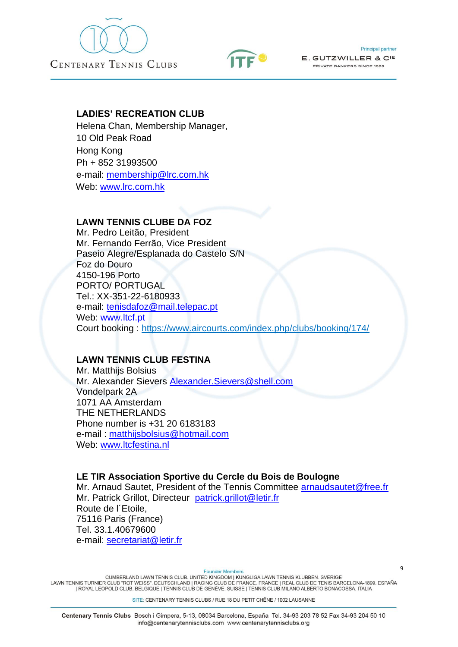





### **LADIES' RECREATION CLUB**

Helena Chan, Membership Manager, 10 Old Peak Road Hong Kong Ph + 852 31993500 e-mail: [membership@lrc.com.hk](mailto:membership@lrc.com.hk) Web: [www.lrc.com.hk](http://www.lrc.com.hk/)

### **LAWN TENNIS CLUBE DA FOZ**

Mr. Pedro Leitão, President Mr. Fernando Ferrão, Vice President Paseio Alegre/Esplanada do Castelo S/N Foz do Douro 4150-196 Porto PORTO/ PORTUGAL Tel.: XX-351-22-6180933 e-mail: tenisdafoz@mail.telepac.pt Web: [www.ltcf.pt](http://www.ltcf.pt/) Court booking : <https://www.aircourts.com/index.php/clubs/booking/174/>

### **LAWN TENNIS CLUB FESTINA**

Mr. Matthijs Bolsius Mr. Alexander Sievers Alexander.Sievers@shell.com Vondelpark 2A 1071 AA Amsterdam THE NETHERLANDS Phone number is +31 20 6183183 e-mail : [matthijsbolsius@hotmail.com](mailto:matthijsbolsius@hotmail.com) Web: [www.ltcfestina.nl](http://www.ltcfestina.nl/)

### **LE TIR Association Sportive du Cercle du Bois de Boulogne**

Mr. Arnaud Sautet, President of the Tennis Committee [arnaudsautet@free.fr](mailto:arnaudsautet@free.fr) Mr. Patrick Grillot, Directeur [patrick.grillot@letir.fr](mailto:patrick.grillot@letir.fr) Route de l´Etoile, 75116 Paris (France) Tel. 33.1.40679600 e-mail: secretariat@letir.fr

**Founder Members** 

CUMBERLAND LAWN TENNIS CLUB. UNITED KINGDOM | KUNGLIGA LAWN TENNIS KLUBBEN. SVERIGE<br>LAWN TENNIS TURNIER CLUB "ROT WEISS". DEUTSCHLAND | RACING CLUB DE FRANCE. FRANCE | REAL CLUB DE TENIS BARCELONA-1899. ESPAÑA | ROYAL LEOPOLD CLUB. BELGIQUE | TENNIS CLUB DE GENÈVE. SUISSE | TENNIS CLUB MILANO ALBERTO BONACOSSA. ITALIA

SITE: CENTENARY TENNIS CLUBS / RUE 18 DU PETIT CHÊNE / 1002 LAUSANNE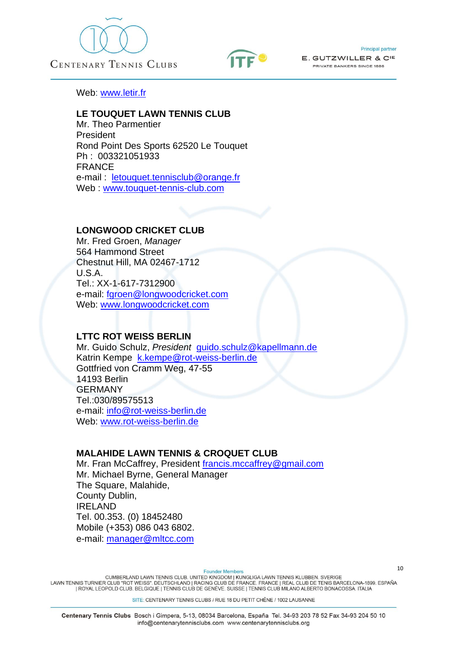





Web: [www.letir.fr](http://www.letir.fr/)

### **LE TOUQUET LAWN TENNIS CLUB**

Mr. Theo Parmentier President Rond Point Des Sports 62520 Le Touquet Ph : 003321051933 FRANCE e-mail : [letouquet.tennisclub@orange.fr](mailto:letouquet.tennisclub@orange.fr) Web : [www.touquet-tennis-club.com](http://www.touquet-tennis-club.com/)

### **LONGWOOD CRICKET CLUB**

Mr. Fred Groen, *Manager* 564 Hammond Street Chestnut Hill, MA 02467-1712 U.S.A. Tel.: XX-1-617-7312900 e-mail: [fgroen@longwoodcricket.com](mailto:fgroen@longwoodcricket.com) Web: [www.longwoodcricket.com](http://www.longwoodcricket.com/)

#### **LTTC ROT WEISS BERLIN**

Mr. Guido Schulz, *President* guido.schulz@kapellmann.de Katrin Kempe [k.kempe@rot-weiss-berlin.de](mailto:k.kempe@rot-weiss-berlin.de) Gottfried von Cramm Weg, 47-55 14193 Berlin GERMANY Tel.:030/89575513 e-mail: [info@rot-weiss-berlin.de](mailto:rot-weiss-berlin@snafu.de) Web: [www.rot-weiss-berlin.de](http://www.rot-weiss-berlin.de/)

### **MALAHIDE LAWN TENNIS & CROQUET CLUB**

Mr. Fran McCaffrey, President [francis.mccaffrey@gmail.com](mailto:francis.mccaffrey@gmail.com) Mr. Michael Byrne, General Manager The Square, Malahide, County Dublin, IRELAND Tel. 00.353. (0) 18452480 Mobile (+353) 086 043 6802. e-mail: manager@mltcc.com

**Founder Members** 

CUMBERLAND LAWN TENNIS CLUB. UNITED KINGDOM | KUNGLIGA LAWN TENNIS KLUBBEN. SVERIGE<br>LAWN TENNIS TURNIER CLUB "ROT WEISS". DEUTSCHLAND | RACING CLUB DE FRANCE. FRANCE | REAL CLUB DE TENIS BARCELONA-1899. ESPAÑA | ROYAL LEOPOLD CLUB. BELGIQUE | TENNIS CLUB DE GENÈVE. SUISSE | TENNIS CLUB MILANO ALBERTO BONACOSSA. ITALIA

SITE: CENTENARY TENNIS CLUBS / RUE 18 DU PETIT CHÊNE / 1002 LAUSANNE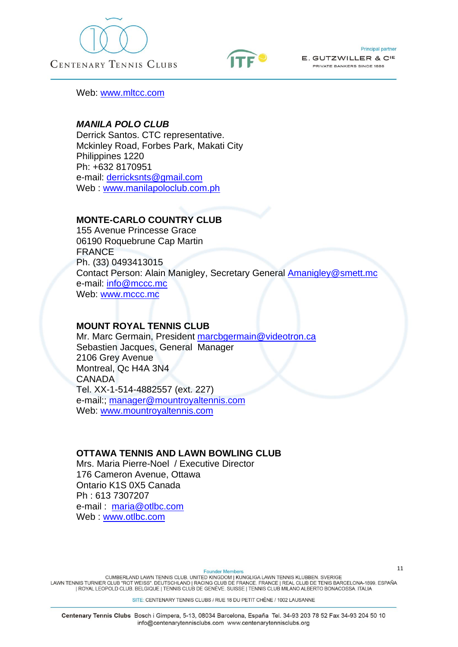





Web: [www.mltcc.com](http://www.mltcc.com/)

### *MANILA POLO CLUB*

Derrick Santos. CTC representative. Mckinley Road, Forbes Park, Makati City Philippines 1220 Ph: +632 8170951 e-mail: [derricksnts@gmail.com](mailto:derricksnts@gmail.com) Web : [www.manilapoloclub.com.ph](http://www.manilapoloclub.com.ph/)

### **MONTE-CARLO COUNTRY CLUB**

155 Avenue Princesse Grace 06190 Roquebrune Cap Martin FRANCE Ph. (33) 0493413015 Contact Person: Alain Manigley, Secretary General Amanigley@smett.mc e-mail: [info@mccc.mc](mailto:info@mccc.mc%20/)  Web: [www.mccc.mc](http://www.mccc.mc/)

### **MOUNT ROYAL TENNIS CLUB**

Mr. Marc Germain, President [marcbgermain@videotron.ca](mailto:marcbgermain@videotron.ca) Sebastien Jacques, General Manager 2106 Grey Avenue Montreal, Qc H4A 3N4 CANADA Tel. XX-1-514-4882557 (ext. 227) e-mail:; [manager@mountroyaltennis.com](mailto:manager@mountroyaltennis.com) Web: [www.mountroyaltennis.com](http://www.mountroyaltennis.com/)

### **OTTAWA TENNIS AND LAWN BOWLING CLUB**

Mrs. Maria Pierre-Noel / Executive Director 176 Cameron Avenue, Ottawa Ontario K1S 0X5 Canada Ph : 613 7307207 e-mail : [maria@otlbc.com](mailto:maria@otlbc.com) Web : [www.otlbc.com](http://www.otlbc.com/)

**Founder Members** 

CUMBERLAND LAWN TENNIS CLUB. UNITED KINGDOM | KUNGLIGA LAWN TENNIS KLUBBEN. SVERIGE<br>LAWN TENNIS TURNIER CLUB "ROT WEISS". DEUTSCHLAND | RACING CLUB DE FRANCE. FRANCE | REAL CLUB DE TENIS BARCELONA-1899. ESPAÑA | ROYAL LEOPOLD CLUB. BELGIQUE | TENNIS CLUB DE GENÈVE. SUISSE | TENNIS CLUB MILANO ALBERTO BONACOSSA. ITALIA

SITE: CENTENARY TENNIS CLUBS / RUE 18 DU PETIT CHÊNE / 1002 LAUSANNE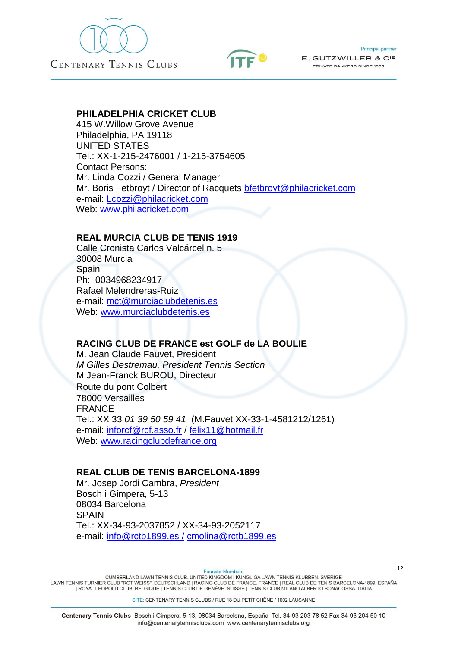



#### **PHILADELPHIA CRICKET CLUB**

415 W.Willow Grove Avenue Philadelphia, PA 19118 UNITED STATES Tel.: XX-1-215-2476001 / 1-215-3754605 Contact Persons: Mr. Linda Cozzi / General Manager Mr. Boris Fetbroyt / Director of Racquets [bfetbroyt@philacricket.com](mailto:bfetbroyt@philacricket.com) e-mail: [Lcozzi@philacricket.com](mailto:Lcozzi@philacricket.com)  Web: [www.philacricket.com](http://www.philacricket.com/)

### **REAL MURCIA CLUB DE TENIS 1919**

Calle Cronista Carlos Valcárcel n. 5 30008 Murcia **Spain** Ph: 0034968234917 Rafael Melendreras-Ruiz e-mail: [mct@murciaclubdetenis.es](mailto:mct@murciaclubdetenis.es) Web: [www.murciaclubdetenis.es](http://www.murciaclubdetenis.es/)

### **RACING CLUB DE FRANCE est GOLF de LA BOULIE**

M. Jean Claude Fauvet, President *M Gilles Destremau, President Tennis Section* M Jean-Franck BUROU, Directeur Route du pont Colbert 78000 Versailles FRANCE Tel.: XX 33 *01 39 50 59 41* (M.Fauvet XX-33-1-4581212/1261) e-mail: [inforcf@rcf.asso.fr](mailto:inforcf@rcf.asso.fr) / [felix11@hotmail.fr](mailto:felix11@hotmail.fr) Web: [www.racingclubdefrance.org](http://www.racingclubdefrance.org/)

#### **REAL CLUB DE TENIS BARCELONA-1899**

Mr. Josep Jordi Cambra, *President* Bosch i Gimpera, 5-13 08034 Barcelona **SPAIN** Tel.: XX-34-93-2037852 / XX-34-93-2052117 e-mail: [info@rctb1899.es](mailto:info@rctb1899.es) / [cmolina@rctb1899.es](mailto:cmolina@rctb1899.es)

**Founder Members** 

CUMBERLAND LAWN TENNIS CLUB, UNITED KINGDOM I KUNGLIGA LAWN TENNIS KLUBBEN, SVERIGE LAWN TENNIS TURNIER CLUB "ROT WEISS". DEUTSCHLAND | RACING CLUB DE FRANCE. FRANCE | REAL CLUB DE TENIS BARCELONA-1899. ESPAÑA | ROYAL LEOPOLD CLUB. BELGIQUE | TENNIS CLUB DE GENÈVE. SUISSE | TENNIS CLUB MILANO ALBERTO BONACOSSA. ITALIA

SITE: CENTENARY TENNIS CLUBS / RUE 18 DU PETIT CHÊNE / 1002 LAUSANNE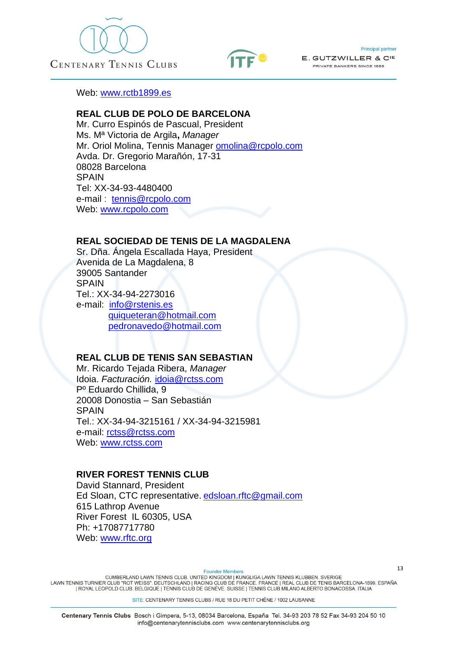





Web: [www.rctb1899.es](http://www.rctb1899.es/) 

### **REAL CLUB DE POLO DE BARCELONA**

Mr. Curro Espinós de Pascual, President Ms. Mª Victoria de Argila**,** *Manager* Mr. Oriol Molina, Tennis Manager [omolina@rcpolo.com](mailto:omolina@rcpolo.com) Avda. Dr. Gregorio Marañón, 17-31 08028 Barcelona SPAIN Tel: XX-34-93-4480400 e-mail : [tennis@rcpolo.com](mailto:miquelmir@rcpolo.com) Web: [www.rcpolo.com](http://www.rcpolo.com/)

### **REAL SOCIEDAD DE TENIS DE LA MAGDALENA**

Sr. Dña. Ángela Escallada Haya, President Avenida de La Magdalena, 8 39005 Santander **SPAIN** Tel.: XX-34-94-2273016 e-mail: [info@rstenis.es](mailto:info@rstenis.es) [quiqueteran@hotmail.com](mailto:quiqueteran@hotmail.com) [pedronavedo@hotmail.com](mailto:pedronavedo@hotmail.com)

### **REAL CLUB DE TENIS SAN SEBASTIAN**

Mr. Ricardo Tejada Ribera, *Manager* Idoia. *Facturación.* [idoia@rctss.com](mailto:idoia@rctss.com) Pº Eduardo Chillida, 9 20008 Donostia – San Sebastián **SPAIN** Tel.: XX-34-94-3215161 / XX-34-94-3215981 e-mail: [rctss@rctss.com](mailto:rctss@rctss.com) Web: [www.rctss.com](http://www.rctss.com/)

### **RIVER FOREST TENNIS CLUB**

David Stannard, President Ed Sloan, CTC representative. [edsloan.rftc@gmail.com](mailto:edsloan.rftc@gmail.com) 615 Lathrop Avenue River Forest IL 60305, USA Ph: +17087717780 Web: [www.rftc.org](http://www.rftc.org/)

**Founder Members** 

CUMBERLAND LAWN TENNIS CLUB. UNITED KINGDOM | KUNGLIGA LAWN TENNIS KLUBBEN. SVERIGE<br>LAWN TENNIS TURNIER CLUB "ROT WEISS". DEUTSCHLAND | RACING CLUB DE FRANCE. FRANCE | REAL CLUB DE TENIS BARCELONA-1899. ESPAÑA | ROYAL LEOPOLD CLUB. BELGIQUE | TENNIS CLUB DE GENÈVE. SUISSE | TENNIS CLUB MILANO ALBERTO BONACOSSA. ITALIA

SITE: CENTENARY TENNIS CLUBS / RUE 18 DU PETIT CHÊNE / 1002 LAUSANNE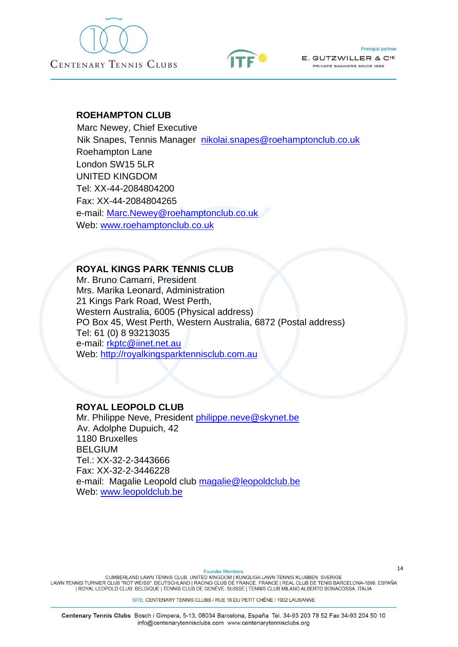



#### **Principal partner**

E. GUTZWILLER & CIE PRIVATE BANKERS SINCE 1886

#### **ROEHAMPTON CLUB**

 Marc Newey, Chief Executive Nik Snapes, Tennis Manager [nikolai.snapes@roehamptonclub.co.uk](mailto:nikolai.snapes@roehamptonclub.co.uk) Roehampton Lane London SW15 5LR UNITED KINGDOM Tel: XX-44-2084804200 Fax: XX-44-2084804265 e-mail: [Marc.Newey@roehamptonclub.co.uk](mailto:Marc.Newey@roehamptonclub.co.uk) Web: [www.roehamptonclub.co.uk](http://www.roehamptonclub.co.uk/)

#### **ROYAL KINGS PARK TENNIS CLUB**

Mr. Bruno Camarri, President Mrs. Marika Leonard, Administration 21 Kings Park Road, West Perth, Western Australia, 6005 (Physical address) PO Box 45, West Perth, Western Australia, 6872 (Postal address) Tel: 61 (0) 8 93213035 e-mail: [rkptc@iinet.net.au](mailto:rkptc@iinet.net.au) Web: [http://royalkingsparktennisclub.com.au](http://royalkingsparktennisclub.com.au/)

### **ROYAL LEOPOLD CLUB**

Mr. Philippe Neve, President [philippe.neve@skynet.be](mailto:philippe.neve@skynet.be) Av. Adolphe Dupuich, 42 1180 Bruxelles BELGIUM Tel.: XX-32-2-3443666 Fax: XX-32-2-3446228 e-mail: Magalie Leopold club [magalie@leopoldclub.be](mailto:magalie@leopoldclub.be) Web: [www.leopoldclub.be](http://www.leopoldclub.be/)

**Founder Members** 

CUMBERLAND LAWN TENNIS CLUB. UNITED KINGDOM | KUNGLIGA LAWN TENNIS KLUBBEN. SVERIGE<br>LAWN TENNIS TURNIER CLUB "ROT WEISS". DEUTSCHLAND | RACING CLUB DE FRANCE. FRANCE | REAL CLUB DE TENIS BARCELONA-1899. ESPAÑA | ROYAL LEOPOLD CLUB. BELGIQUE | TENNIS CLUB DE GENÈVE. SUISSE | TENNIS CLUB MILANO ALBERTO BONACOSSA. ITALIA

SITE: CENTENARY TENNIS CLUBS / RUE 18 DU PETIT CHÊNE / 1002 LAUSANNE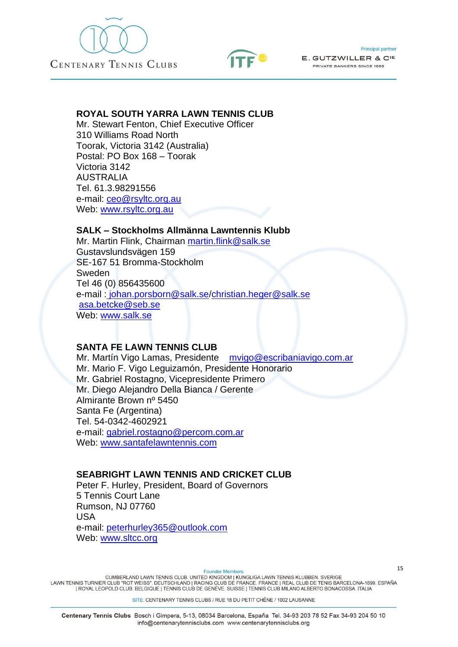



### **ROYAL SOUTH YARRA LAWN TENNIS CLUB**

Mr. Stewart Fenton, Chief Executive Officer 310 Williams Road North Toorak, Victoria 3142 (Australia) Postal: PO Box 168 – Toorak Victoria 3142 AUSTRALIA Tel. 61.3.98291556 e-mail: [ceo@rsyltc.org.au](mailto:ceo@rsyltc.org.au) Web: [www.rsyltc.org.au](http://www.rsyltc.org.au/)

### **SALK – Stockholms Allmänna Lawntennis Klubb**

Mr. Martin Flink, Chairman [martin.flink@salk.se](mailto:martin.flink@salk.se) Gustavslundsvägen 159 SE-167 51 Bromma-Stockholm Sweden Tel 46 (0) 856435600 e-mail : [johan.porsborn@salk.se/](mailto:info@salk.se)[christian.heger@salk.se](mailto:christian.heger@salk.se) [asa.betcke@seb.se](mailto:asa.betcke@seb.se) Web: [www.salk.se](http://www.salk.se/)

### **SANTA FE LAWN TENNIS CLUB**

Mr. Martín Vigo Lamas, Presidente mvigo@escribaniavigo.com.ar Mr. Mario F. Vigo Leguizamón, Presidente Honorario Mr. Gabriel Rostagno, Vicepresidente Primero Mr. Diego Alejandro Della Bianca / Gerente Almirante Brown nº 5450 Santa Fe (Argentina) Tel. 54-0342-4602921 e-mail: [gabriel.rostagno@percom.com.ar](mailto:gabriel.rostagno@percom.com.ar) Web: www.santafelawntennis.com

#### **SEABRIGHT LAWN TENNIS AND CRICKET CLUB**

Peter F. Hurley, President, Board of Governors 5 Tennis Court Lane Rumson, NJ 07760 USA e-mail: peterhurley365@outlook.com Web: [www.sltcc.org](http://www.sltcc.org/)

**Founder Members** 

CUMBERLAND LAWN TENNIS CLUB, UNITED KINGDOM I KUNGLIGA LAWN TENNIS KLUBBEN, SVERIGE LAWN TENNIS TURNIER CLUB "ROT WEISS". DEUTSCHLAND | RACING CLUB DE FRANCE. FRANCE | REAL CLUB DE TENIS BARCELONA-1899. ESPAÑA | ROYAL LEOPOLD CLUB. BELGIQUE | TENNIS CLUB DE GENÈVE. SUISSE | TENNIS CLUB MILANO ALBERTO BONACOSSA. ITALIA

SITE: CENTENARY TENNIS CLUBS / RUE 18 DU PETIT CHÊNE / 1002 LAUSANNE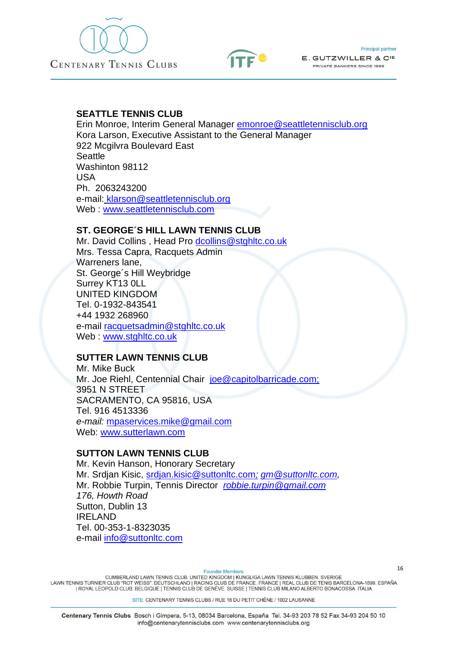



### **SEATTLE TENNIS CLUB**

Erin Monroe, Interim General Manager [emonroe@seattletennisclub.org](mailto:emonroe@seattletennisclub.org) Kora Larson, Executive Assistant to the General Manager 922 Mcgilvra Boulevard East **Seattle** Washinton 98112 USA Ph. 2063243200 e-mail: [klarson@seattletennisclub.org](mailto:klarson@seattletennisclub.org) Web : [www.seattletennisclub.com](http://www.seattletennisclub.com/)

### **ST. GEORGE´S HILL LAWN TENNIS CLUB**

Mr. David Collins , Head Pro [dcollins@stghltc.co.uk](mailto:dcollins@stghltc.co.uk) Mrs. Tessa Capra, Racquets Admin Warreners lane, St. George´s Hill Weybridge Surrey KT13 0LL UNITED KINGDOM Tel. 0-1932-843541 +44 1932 268960 e-mail [racquetsadmin@stghltc.co.uk](mailto:racquetsadmin@stghltc.co.uk) Web : [www.stghltc.co.uk](http://www.stghltc.co.uk/)

### **SUTTER LAWN TENNIS CLUB**

Mr. Mike Buck Mr. Joe Riehl, Centennial Chair joe@capitolbarricade.com; 3951 N STREET SACRAMENTO, CA 95816, USA Tel. 916 4513336 *e-mail:* [mpaservices.mike@gmail.com](mailto:mpaservices.mike@gmail.com) Web: [www.sutterlawn.com](http://www.sutterlawn.com/)

### **SUTTON LAWN TENNIS CLUB**

Mr. Kevin Hanson, Honorary Secretary Mr. Srdjan Kisic, [srdjan.kisic@suttonltc.com](mailto:srdjan.kisic@suttonltc.com)*; [gm@suttonltc.com,](mailto:gm@suttonltc.com)* Mr. Robbie Turpin, Tennis Director *robbie.turpin@gmail.com 176, Howth Road* Sutton, Dublin 13 IRELAND Tel. 00-353-1-8323035 e-mail [info@suttonltc.com](mailto:info@suttonltc.com)

**Founder Members** 

CUMBERLAND LAWN TENNIS CLUB. UNITED KINGDOM | KUNGLIGA LAWN TENNIS KLUBBEN. SVERIGE<br>LAWN TENNIS TURNIER CLUB "ROT WEISS". DEUTSCHLAND | RACING CLUB DE FRANCE. FRANCE | REAL CLUB DE TENIS BARCELONA-1899. ESPAÑA | ROYAL LEOPOLD CLUB. BELGIQUE | TENNIS CLUB DE GENÈVE. SUISSE | TENNIS CLUB MILANO ALBERTO BONACOSSA. ITALIA

SITE: CENTENARY TENNIS CLUBS / RUE 18 DU PETIT CHÊNE / 1002 LAUSANNE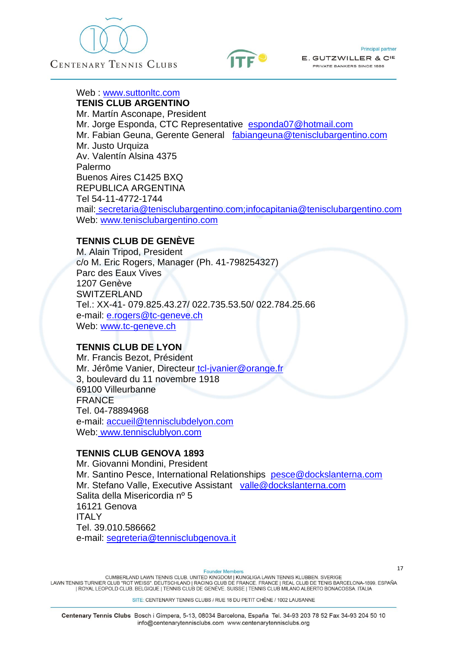



Web : [www.suttonltc.com](http://www.suttonltc.com/)

**TENIS CLUB ARGENTINO** Mr. Martín Asconape, President Mr. Jorge Esponda, CTC Representative [esponda07@hotmail.com](mailto:esponda07@hotmail.com) Mr. Fabian Geuna, Gerente General [fabiangeuna@tenisclubargentino.com](mailto:constanza@tenisclubargentino.com) Mr. Justo Urquiza Av. Valentín Alsina 4375 Palermo Buenos Aires C1425 BXQ REPUBLICA ARGENTINA Tel 54-11-4772-1744 mail: secretaria@tenisclubargentino.com[;infocapitania@tenisclubargentino.com](mailto:infocapitania@tenisclubargentino.com) Web: [www.tenisclubargentino.com](http://www.tenisclubargentino.com/)

#### **TENNIS CLUB DE GENÈVE**

M. Alain Tripod, President c/o M. Eric Rogers, Manager (Ph. 41-798254327) Parc des Eaux Vives 1207 Genève **SWITZERLAND** Tel.: XX-41- 079.825.43.27/ 022.735.53.50/ 022.784.25.66 e-mail: [e.rogers@tc-geneve.ch](mailto:e.rogers@tc-geneve.ch)  Web: [www.tc-geneve.ch](http://www.tc-geneve.ch/) 

### **TENNIS CLUB DE LYON**

Mr. Francis Bezot, Président Mr. Jérôme Vanier, Directeur tcl-jvanier@orange.fr 3, boulevard du 11 novembre 1918 69100 Villeurbanne FRANCE Tel. 04-78894968 e-mail: [accueil@tennisclubdelyon.com](mailto:accueil@tennisclubdelyon.com) Web: [www.tennisclublyon.com](http://www.tennisclublyon.com/)

### **TENNIS CLUB GENOVA 1893**

Mr. Giovanni Mondini, President Mr. Santino Pesce, International Relationships [pesce@dockslanterna.com](mailto:pesce@dockslanterna.com) Mr. Stefano Valle, Executive Assistant valle@dockslanterna.com Salita della Misericordia nº 5 16121 Genova ITALY Tel. 39.010.586662 e-mail: [segreteria@tennisclubgenova.it](mailto:segreteria@tennisclubgenova.it)

**Founder Members** 

CUMBERLAND LAWN TENNIS CLUB, UNITED KINGDOM I KUNGLIGA LAWN TENNIS KLUBBEN, SVERIGE LAWN TENNIS TURNIER CLUB "ROT WEISS". DEUTSCHLAND | RACING CLUB DE FRANCE. FRANCE | REAL CLUB DE TENIS BARCELONA-1899. ESPAÑA | ROYAL LEOPOLD CLUB. BELGIQUE | TENNIS CLUB DE GENÈVE. SUISSE | TENNIS CLUB MILANO ALBERTO BONACOSSA. ITALIA

SITE: CENTENARY TENNIS CLUBS / RUE 18 DU PETIT CHÊNE / 1002 LAUSANNE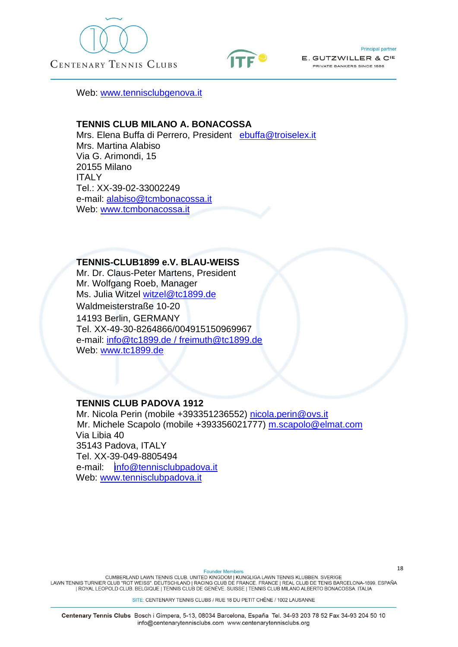





Web: [www.tennisclubgenova.it](http://www.tennisclubgenova.it/)

### **TENNIS CLUB MILANO A. BONACOSSA**

Mrs. Elena Buffa di Perrero, President [ebuffa@troiselex.it](mailto:ebuffa@troiselex.it) Mrs. Martina Alabiso Via G. Arimondi, 15 20155 Milano ITALY Tel.: XX-39-02-33002249 e-mail: [alabiso@tcmbonacossa.it](mailto:alabiso@tcmbonacossa.it) Web: [www.tcmbonacossa.it](http://www.tcmbonacossa.it/)

#### **TENNIS-CLUB1899 e.V. BLAU-WEISS**

Mr. Dr. Claus-Peter Martens, President Mr. Wolfgang Roeb, Manager Ms. Julia Witzel witzel@tc1899.de Waldmeisterstraße 10-20 14193 Berlin, GERMANY Tel. XX-49-30-8264866/004915150969967 e-mail: [info@tc1899.de](mailto:info@tc1899.de) / freimuth@tc1899.de Web: [www.tc1899.de](http://www.tc1899.de/)

### **TENNIS CLUB PADOVA 1912**

Mr. Nicola Perin (mobile +393351236552) [nicola.perin@ovs.it](mailto:nicola.perin@ovs.it) Mr. Michele Scapolo (mobile +393356021777) [m.scapolo@elmat.com](mailto:m.scapolo@elmat.com) Via Libia 40 35143 Padova, ITALY Tel. XX-39-049-8805494 e-mail:  $\ln$ fo@tennisclubpadova.it Web: [www.tennisclubpadova.it](http://www.tennisclubpadova.it/)

**Founder Members** 

CUMBERLAND LAWN TENNIS CLUB. UNITED KINGDOM | KUNGLIGA LAWN TENNIS KLUBBEN. SVERIGE<br>LAWN TENNIS TURNIER CLUB "ROT WEISS". DEUTSCHLAND | RACING CLUB DE FRANCE. FRANCE | REAL CLUB DE TENIS BARCELONA-1899. ESPAÑA | ROYAL LEOPOLD CLUB. BELGIQUE | TENNIS CLUB DE GENÈVE. SUISSE | TENNIS CLUB MILANO ALBERTO BONACOSSA. ITALIA

SITE: CENTENARY TENNIS CLUBS / RUE 18 DU PETIT CHÊNE / 1002 LAUSANNE

Centenary Tennis Clubs Bosch i Gimpera, 5-13, 08034 Barcelona, España Tel. 34-93 203 78 52 Fax 34-93 204 50 10 info@centenarytennisclubs.com www.centenarytennisclubs.org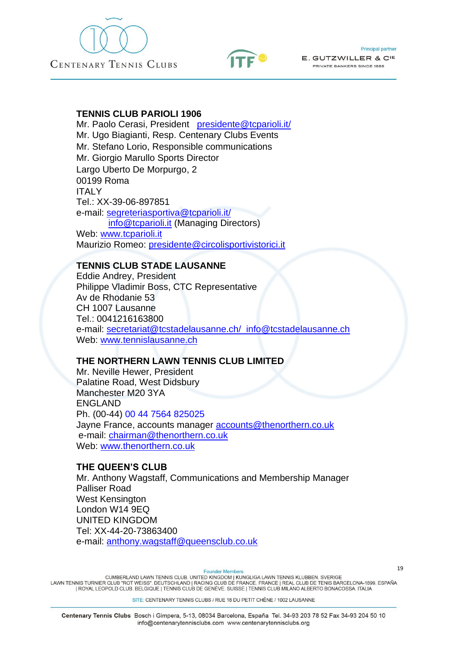





### **TENNIS CLUB PARIOLI 1906**

Mr. Paolo Cerasi, President [presidente@tcparioli.it/](mailto:presidente@tcparioli.it) Mr. Ugo Biagianti, Resp. Centenary Clubs Events Mr. Stefano Lorio, Responsible communications Mr. Giorgio Marullo Sports Director Largo Uberto De Morpurgo, 2 00199 Roma ITALY Tel.: XX-39-06-897851 e-mail: [segreteriasportiva@tcparioli.it/](mailto:segreteriasportiva@tcparioli.it) [info@tcparioli.it](mailto:info@tcparioli.it) (Managing Directors) Web: [www.tcparioli.it](http://www.tcparioli.it/) Maurizio Romeo: [presidente@circolisportivistorici.it](mailto:presidente@circolisportivistorici.it)

### **TENNIS CLUB STADE LAUSANNE**

Eddie Andrey, President Philippe Vladimir Boss, CTC Representative Av de Rhodanie 53 CH 1007 Lausanne Tel.: 0041216163800 e-mail: [secretariat@tcstadelausanne.ch/ info@tcstadelausanne.ch](mailto:secretariat@tcstadelausanne.ch/%20%20info@tcstadelausanne.ch) Web: [www.tennislausanne.ch](http://www.tennislausanne.ch/)

### **THE NORTHERN LAWN TENNIS CLUB LIMITED**

Mr. Neville Hewer, President Palatine Road, West Didsbury Manchester M20 3YA ENGLAND Ph. (00-44) 00 44 7564 825025 Jayne France, accounts manager [accounts@thenorthern.co.uk](mailto:accounts@thenorthern.co.uk) e-mail: [chairman@thenorthern.co.uk](mailto:chairman@thenorthern.co.uk) Web: [www.thenorthern.co.uk](http://www.thenorthern.co.uk/)

### **THE QUEEN'S CLUB**

Mr. Anthony Wagstaff, Communications and Membership Manager Palliser Road West Kensington London W14 9EQ UNITED KINGDOM Tel: XX-44-20-73863400 e-mail: [anthony.wagstaff@queensclub.co.uk](mailto:anthony.wagstaff@queensclub.co.uk)

**Founder Member** 

CUMBERLAND LAWN TENNIS CLUB. UNITED KINGDOM | KUNGLIGA LAWN TENNIS KLUBBEN. SVERIGE<br>LAWN TENNIS TURNIER CLUB "ROT WEISS". DEUTSCHLAND | RACING CLUB DE FRANCE. FRANCE | REAL CLUB DE TENIS BARCELONA-1899. ESPAÑA | ROYAL LEOPOLD CLUB. BELGIQUE | TENNIS CLUB DE GENÈVE. SUISSE | TENNIS CLUB MILANO ALBERTO BONACOSSA. ITALIA

SITE: CENTENARY TENNIS CLUBS / RUE 18 DU PETIT CHÊNE / 1002 LAUSANNE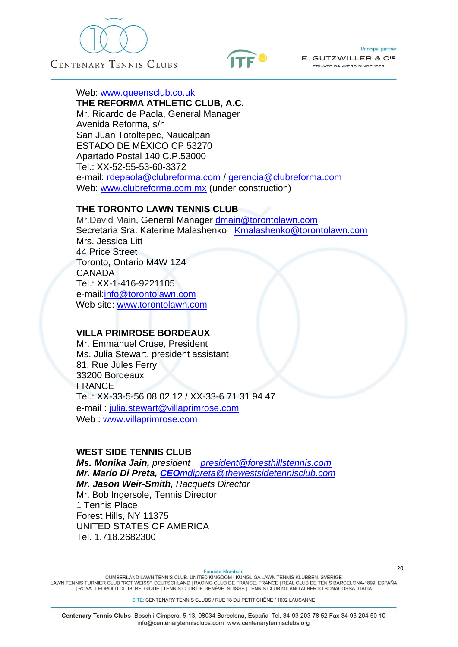





Web: [www.queensclub.co.uk](http://www.queensclub.co.uk/)

**THE REFORMA ATHLETIC CLUB, A.C.** Mr. Ricardo de Paola, General Manager Avenida Reforma, s/n San Juan Totoltepec, Naucalpan ESTADO DE MÉXICO CP 53270 Apartado Postal 140 C.P.53000 Tel.: XX-52-55-53-60-3372 e-mail: [rdepaola@clubreforma.com](mailto:rdepaola@clubreforma.com) / [gerencia@clubreforma.com](mailto:gerencia@clubreforma.com) Web: [www.clubreforma.com.mx](http://www.clubreforma.com.mx/) (under construction)

### **THE TORONTO LAWN TENNIS CLUB**

Mr.David Main, General Manager [dmain@torontolawn.com](mailto:dmain@torontolawn.com) Secretaria Sra. Katerine Malashenko [Kmalashenko@torontolawn.com](mailto:Kmalashenko@torontolawn.com) Mrs. Jessica Litt 44 Price Street Toronto, Ontario M4W 1Z4 CANADA Tel.: XX-1-416-9221105 e-mail[:info@torontolawn.com](mailto:info@torontolawn.com) Web site: [www.torontolawn.com](http://www.torontolawn.com/)

### **VILLA PRIMROSE BORDEAUX**

Mr. Emmanuel Cruse, President Ms. Julia Stewart, president assistant 81, Rue Jules Ferry 33200 Bordeaux FRANCE Tel.: XX-33-5-56 08 02 12 / XX-33-6 71 31 94 47 e-mail : [julia.stewart@villaprimrose.com](mailto:julia.stewart@villaprimrose.com)  Web : [www.villaprimrose.com](http://www.villaprimrose.com/)

### **WEST SIDE TENNIS CLUB**

*Ms. Monika Jain, president [president@foresthillstennis.com](mailto:president@foresthillstennis.com) Mr. Mario Di Preta, CEO[mdipreta@thewestsidetennisclub.com](mailto:CEOmdipreta@thewestsidetennisclub.com) Mr. Jason Weir-Smith, Racquets Director* Mr. Bob Ingersole, Tennis Director 1 Tennis Place Forest Hills, NY 11375 UNITED STATES OF AMERICA Tel. 1.718.2682300

**Founder Members** 

CUMBERLAND LAWN TENNIS CLUB. UNITED KINGDOM | KUNGLIGA LAWN TENNIS KLUBBEN. SVERIGE<br>LAWN TENNIS TURNIER CLUB "ROT WEISS". DEUTSCHLAND | RACING CLUB DE FRANCE. FRANCE | REAL CLUB DE TENIS BARCELONA-1899. ESPAÑA | ROYAL LEOPOLD CLUB. BELGIQUE | TENNIS CLUB DE GENÈVE. SUISSE | TENNIS CLUB MILANO ALBERTO BONACOSSA. ITALIA

SITE: CENTENARY TENNIS CLUBS / RUE 18 DU PETIT CHÊNE / 1002 LAUSANNE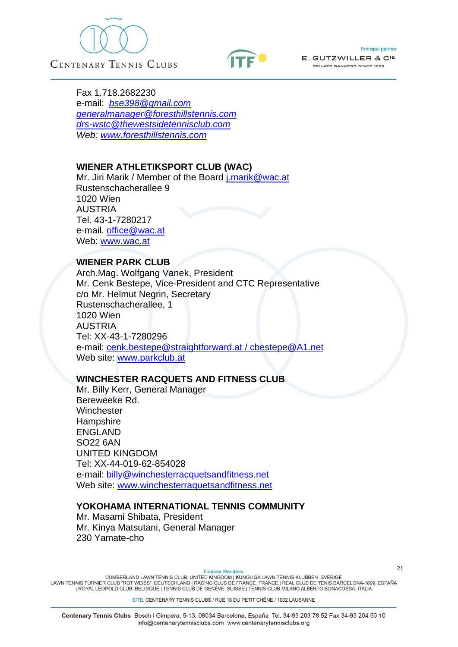





Fax 1.718.2682230 e-mail: *[bse398@gmail.com](mailto:bse398@gmail.com) [generalmanager@foresthillstennis.com](mailto:generalmanager@foresthillstennis.com) [drs-wstc@thewestsidetennisclub.com](mailto:drs-wstc@thewestsidetennisclub.com) Web: [www.foresthillstennis.com](http://www.foresthillstennis.com/)*

### **WIENER ATHLETIKSPORT CLUB (WAC)**

Mr. Jiri Marik / Member of the Board [j.marik@wac.at](mailto:j.marik@wac.at) Rustenschacherallee 9 1020 Wien AUSTRIA Tel. 43-1-7280217 e-mail. [office@wac.at](mailto:office@wac.at) Web: [www.wac.at](http://www.wac.at/)

#### **WIENER PARK CLUB**

Arch.Mag. Wolfgang Vanek, President Mr. Cenk Bestepe, Vice-President and CTC Representative c/o Mr. Helmut Negrin, Secretary Rustenschacherallee, 1 1020 Wien AUSTRIA Tel: XX-43-1-7280296 e-mail: [cenk.bestepe@straightforward.at](mailto:cenk.bestepe@straightforward.at) / cbestepe@A1.net Web site: [www.parkclub.at](http://www.parkclub.at/)

### **WINCHESTER RACQUETS AND FITNESS CLUB**

Mr. Billy Kerr, General Manager Bereweeke Rd. **Winchester Hampshire** ENGLAND SO22 6AN UNITED KINGDOM Tel: XX-44-019-62-854028 e-mail: [billy@winchesterracquetsandfitness.net](mailto:billy@winchesterracquetsandfitness.net) Web site: [www.winchesterraquetsandfitness.net](http://www.winchesterraquetsandfitness.net/)

### **YOKOHAMA INTERNATIONAL TENNIS COMMUNITY**

Mr. Masami Shibata, President Mr. Kinya Matsutani, General Manager 230 Yamate-cho

**Founder Members** 

CUMBERLAND LAWN TENNIS CLUB. UNITED KINGDOM | KUNGLIGA LAWN TENNIS KLUBBEN. SVERIGE<br>LAWN TENNIS TURNIER CLUB "ROT WEISS". DEUTSCHLAND | RACING CLUB DE FRANCE. FRANCE | REAL CLUB DE TENIS BARCELONA-1899. ESPAÑA | ROYAL LEOPOLD CLUB. BELGIQUE | TENNIS CLUB DE GENÈVE. SUISSE | TENNIS CLUB MILANO ALBERTO BONACOSSA. ITALIA

SITE: CENTENARY TENNIS CLUBS / RUE 18 DU PETIT CHÊNE / 1002 LAUSANNE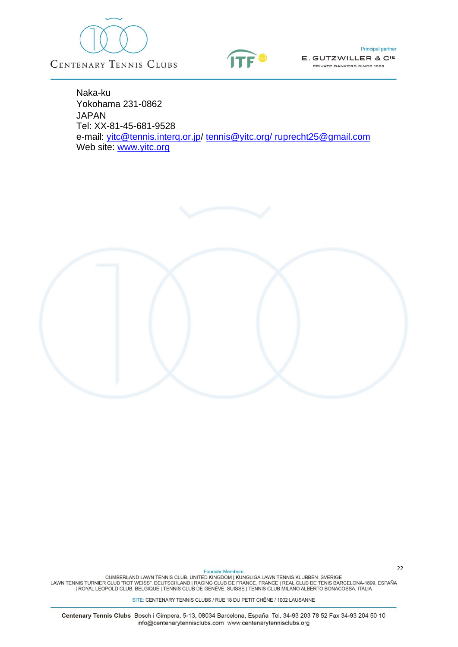



**Principal partner** 

E. GUTZWILLER & CIE PRIVATE BANKERS SINCE 1886

Naka-ku Yokohama 231-0862 JAPAN Tel: XX-81-45-681-9528 e-mail: [yitc@tennis.interq.or.jp/](mailto:vitc@tennis,interq.or.jp) [tennis@yitc.org/](mailto:tennis@yitc.org/) [ruprecht25@gmail.com](mailto:ruprecht25@gmail.com) Web site: [www.yitc.org](http://www.yitc.org/)

Founder Members<br>CUMBERLAND LAWN TENNIS CLUB. UNITED KINGDOM | KUNGLIGA LAWN TENNIS KLUBBEN. SVERIGE<br>ROYAL LEOPOLD CLUB "ROT WEISS". DEUTSCHLAND | RACING CLUB DE FRANCE. FRANCE | REAL CLUB DE TENIS BARCELONA-1899. ESPAÑA |<br>

SITE: CENTENARY TENNIS CLUBS / RUE 18 DU PETIT CHÊNE / 1002 LAUSANNE

Centenary Tennis Clubs Bosch i Gimpera, 5-13, 08034 Barcelona, España Tel. 34-93 203 78 52 Fax 34-93 204 50 10 info@centenarytennisclubs.com www.centenarytennisclubs.org